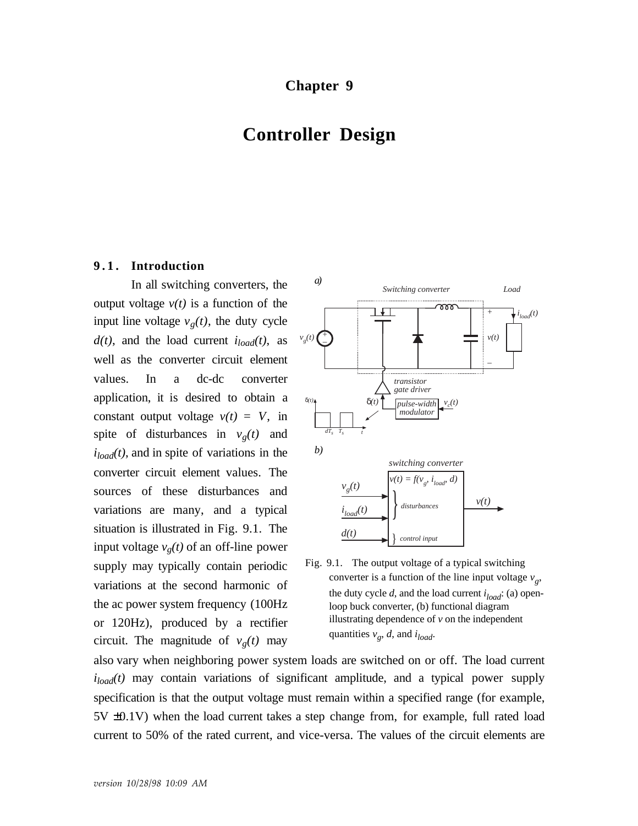# **Controller Design**

#### **9.1. Introduction**

In all switching converters, the output voltage  $v(t)$  is a function of the input line voltage  $v_g(t)$ , the duty cycle  $d(t)$ , and the load current  $i_{load}(t)$ , as well as the converter circuit element values. In a dc-dc converter application, it is desired to obtain a constant output voltage  $v(t) = V$ , in spite of disturbances in  $v_g(t)$  and  $i_{load}(t)$ , and in spite of variations in the converter circuit element values. The sources of these disturbances and variations are many, and a typical situation is illustrated in Fig. 9.1. The input voltage  $v_g(t)$  of an off-line power supply may typically contain periodic variations at the second harmonic of the ac power system frequency (100Hz or 120Hz), produced by a rectifier circuit. The magnitude of  $v_g(t)$  may



Fig. 9.1. The output voltage of a typical switching converter is a function of the line input voltage  $v_g$ , the duty cycle *d*, and the load current *i load*: (a) openloop buck converter, (b) functional diagram illustrating dependence of  $\nu$  on the independent quantities *vg*, *d*, and *i load*.

also vary when neighboring power system loads are switched on or off. The load current  $i_{load}(t)$  may contain variations of significant amplitude, and a typical power supply specification is that the output voltage must remain within a specified range (for example,  $5V \pm 0.1V$ ) when the load current takes a step change from, for example, full rated load current to 50% of the rated current, and vice-versa. The values of the circuit elements are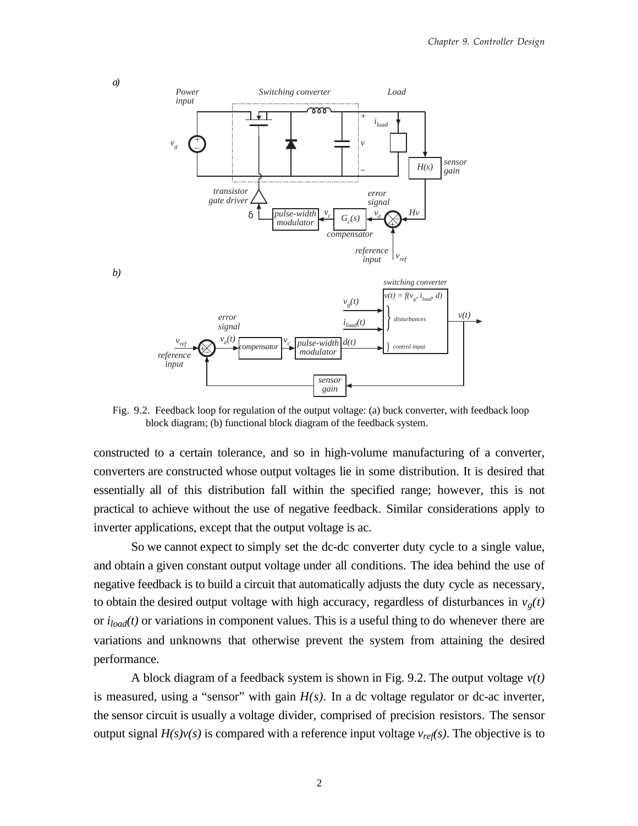

Fig. 9.2. Feedback loop for regulation of the output voltage: (a) buck converter, with feedback loop block diagram; (b) functional block diagram of the feedback system.

constructed to a certain tolerance, and so in high-volume manufacturing of a converter, converters are constructed whose output voltages lie in some distribution. It is desired that essentially all of this distribution fall within the specified range; however, this is not practical to achieve without the use of negative feedback. Similar considerations apply to inverter applications, except that the output voltage is ac.

So we cannot expect to simply set the dc-dc converter duty cycle to a single value, and obtain a given constant output voltage under all conditions. The idea behind the use of negative feedback is to build a circuit that automatically adjusts the duty cycle as necessary, to obtain the desired output voltage with high accuracy, regardless of disturbances in  $v_g(t)$ or *iload(t)* or variations in component values. This is a useful thing to do whenever there are variations and unknowns that otherwise prevent the system from attaining the desired performance.

A block diagram of a feedback system is shown in Fig. 9.2. The output voltage  $v(t)$ is measured, using a "sensor" with gain  $H(s)$ . In a dc voltage regulator or dc-ac inverter, the sensor circuit is usually a voltage divider, comprised of precision resistors. The sensor output signal  $H(s)v(s)$  is compared with a reference input voltage  $v_{ref}(s)$ . The objective is to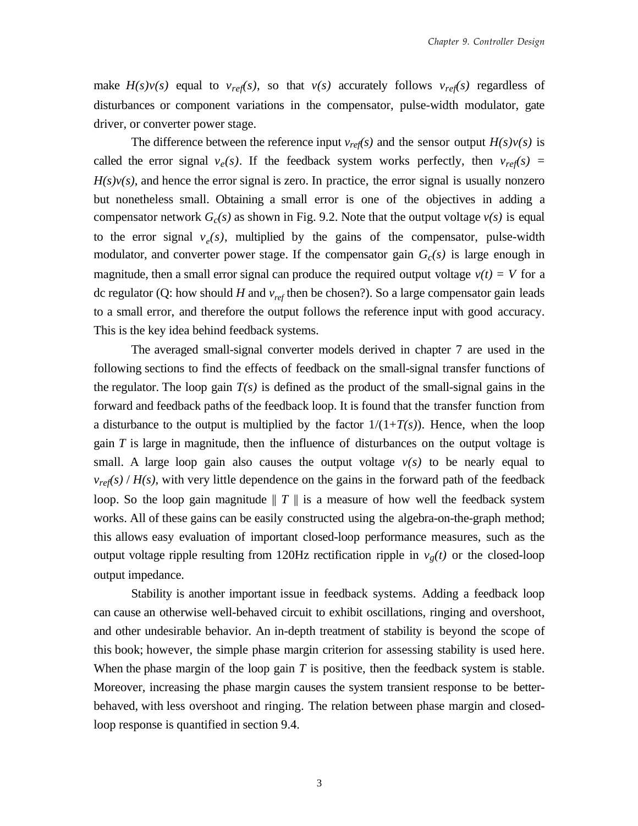make  $H(s)v(s)$  equal to  $v_{ref}(s)$ , so that  $v(s)$  accurately follows  $v_{ref}(s)$  regardless of disturbances or component variations in the compensator, pulse-width modulator, gate driver, or converter power stage.

The difference between the reference input  $v_{ref}(s)$  and the sensor output  $H(s)v(s)$  is called the error signal  $v_e(s)$ . If the feedback system works perfectly, then  $v_{ref}(s)$  =  $H(s)v(s)$ , and hence the error signal is zero. In practice, the error signal is usually nonzero but nonetheless small. Obtaining a small error is one of the objectives in adding a compensator network  $G_c(s)$  as shown in Fig. 9.2. Note that the output voltage  $v(s)$  is equal to the error signal  $v_e(s)$ , multiplied by the gains of the compensator, pulse-width modulator, and converter power stage. If the compensator gain  $G_c(s)$  is large enough in magnitude, then a small error signal can produce the required output voltage  $v(t) = V$  for a dc regulator (Q: how should *H* and  $v_{ref}$  then be chosen?). So a large compensator gain leads to a small error, and therefore the output follows the reference input with good accuracy. This is the key idea behind feedback systems.

The averaged small-signal converter models derived in chapter 7 are used in the following sections to find the effects of feedback on the small-signal transfer functions of the regulator. The loop gain  $T(s)$  is defined as the product of the small-signal gains in the forward and feedback paths of the feedback loop. It is found that the transfer function from a disturbance to the output is multiplied by the factor  $1/(1+T(s))$ . Hence, when the loop gain *T* is large in magnitude, then the influence of disturbances on the output voltage is small. A large loop gain also causes the output voltage  $v(s)$  to be nearly equal to  $v_{ref}(s)$  /  $H(s)$ , with very little dependence on the gains in the forward path of the feedback loop. So the loop gain magnitude  $||T||$  is a measure of how well the feedback system works. All of these gains can be easily constructed using the algebra-on-the-graph method; this allows easy evaluation of important closed-loop performance measures, such as the output voltage ripple resulting from 120Hz rectification ripple in  $v_g(t)$  or the closed-loop output impedance.

Stability is another important issue in feedback systems. Adding a feedback loop can cause an otherwise well-behaved circuit to exhibit oscillations, ringing and overshoot, and other undesirable behavior. An in-depth treatment of stability is beyond the scope of this book; however, the simple phase margin criterion for assessing stability is used here. When the phase margin of the loop gain *T* is positive, then the feedback system is stable. Moreover, increasing the phase margin causes the system transient response to be betterbehaved, with less overshoot and ringing. The relation between phase margin and closedloop response is quantified in section 9.4.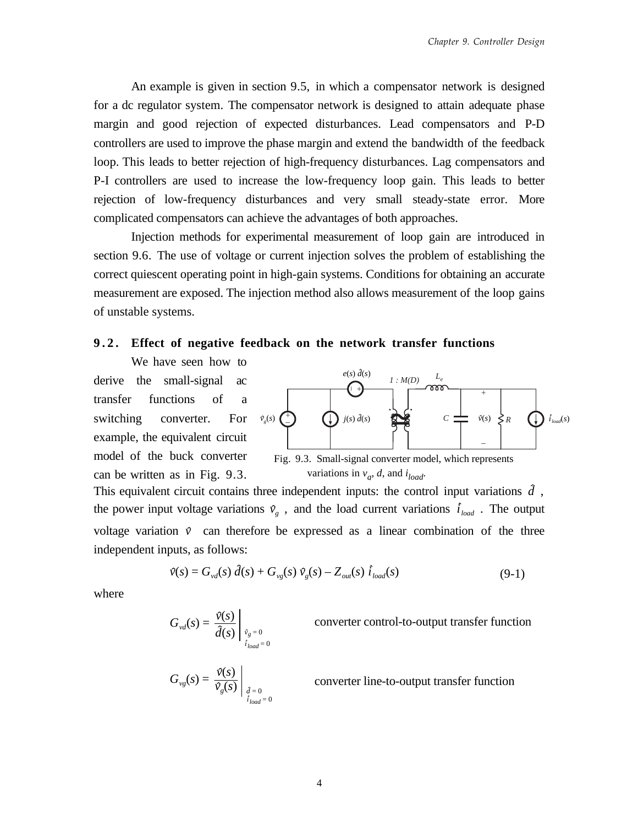An example is given in section 9.5, in which a compensator network is designed for a dc regulator system. The compensator network is designed to attain adequate phase margin and good rejection of expected disturbances. Lead compensators and P-D controllers are used to improve the phase margin and extend the bandwidth of the feedback loop. This leads to better rejection of high-frequency disturbances. Lag compensators and P-I controllers are used to increase the low-frequency loop gain. This leads to better rejection of low-frequency disturbances and very small steady-state error. More complicated compensators can achieve the advantages of both approaches.

Injection methods for experimental measurement of loop gain are introduced in section 9.6. The use of voltage or current injection solves the problem of establishing the correct quiescent operating point in high-gain systems. Conditions for obtaining an accurate measurement are exposed. The injection method also allows measurement of the loop gains of unstable systems.

# **9.2. Effect of negative feedback on the network transfer functions**

We have seen how to derive the small-signal ac transfer functions of a switching converter. For example, the equivalent circuit model of the buck converter can be written as in Fig. 9.3.



variations in  $v_g$ , *d*, and  $i_{load}$ .

This equivalent circuit contains three independent inputs: the control input variations  $\hat{d}$ , the power input voltage variations  $\hat{v}_g$ , and the load current variations  $\hat{i}_{load}$ . The output voltage variation  $\hat{v}$  can therefore be expressed as a linear combination of the three independent inputs, as follows:

$$
\hat{v}(s) = G_{vd}(s) \,\hat{d}(s) + G_{vg}(s) \,\hat{v}_g(s) - Z_{out}(s) \,\hat{i}_{load}(s) \tag{9-1}
$$

where

$$
G_{\nu d}(s) = \frac{\widehat{\nu}(s)}{\widehat{d}(s)}\Bigg|_{\substack{\widehat{\nu}_g = 0 \\ \widehat{i}_{load} = 0}}
$$

converter control-to-output transfer function

$$
G_{vg}(s) = \left. \frac{\widehat{v}(s)}{\widehat{v}_g(s)} \right|_{\substack{\widehat{d} = 0 \\ i_{load} = 0}}
$$

converter line-to-output transfer function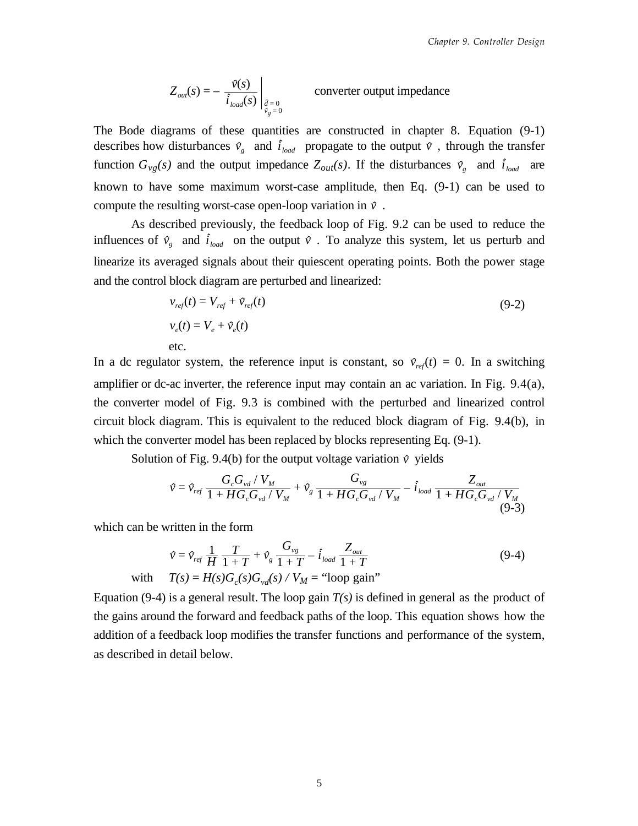$$
Z_{out}(s) = -\frac{\hat{v}(s)}{\hat{i}_{load}(s)}\bigg|_{\substack{\hat{a}=0\\ \hat{v}_g = 0}} \qquad \text{converter output impedance}
$$

The Bode diagrams of these quantities are constructed in chapter 8. Equation (9-1) describes how disturbances  $\hat{v}_g$  and  $\hat{i}_{load}$  propagate to the output  $\hat{v}$ , through the transfer function  $G_{vg}(s)$  and the output impedance  $Z_{out}(s)$ . If the disturbances  $\hat{v}_g$  and  $\hat{i}_{load}$  are known to have some maximum worst-case amplitude, then Eq. (9-1) can be used to compute the resulting worst-case open-loop variation in  $\hat{v}$ .

As described previously, the feedback loop of Fig. 9.2 can be used to reduce the influences of  $\hat{v}_g$  and  $\hat{i}_{load}$  on the output  $\hat{v}$ . To analyze this system, let us perturb and linearize its averaged signals about their quiescent operating points. Both the power stage and the control block diagram are perturbed and linearized:

$$
v_{ref}(t) = V_{ref} + \hat{v}_{ref}(t)
$$
  
\n
$$
v_e(t) = V_e + \hat{v}_e(t)
$$
  
\netc. (9-2)

In a dc regulator system, the reference input is constant, so  $\hat{v}_{ref}(t) = 0$ . In a switching amplifier or dc-ac inverter, the reference input may contain an ac variation. In Fig. 9.4(a), the converter model of Fig. 9.3 is combined with the perturbed and linearized control circuit block diagram. This is equivalent to the reduced block diagram of Fig. 9.4(b), in which the converter model has been replaced by blocks representing Eq. (9-1).

Solution of Fig. 9.4(b) for the output voltage variation  $\hat{v}$  yields

$$
\hat{v} = \hat{v}_{ref} \frac{G_c G_{vd} / V_M}{1 + HG_c G_{vd} / V_M} + \hat{v}_g \frac{G_{vg}}{1 + HG_c G_{vd} / V_M} - \hat{i}_{load} \frac{Z_{out}}{1 + HG_c G_{vd} / V_M}
$$
(9-3)

which can be written in the form

$$
\hat{v} = \hat{v}_{ref} \frac{1}{H} \frac{T}{1+T} + \hat{v}_g \frac{G_{vg}}{1+T} - \hat{i}_{load} \frac{Z_{out}}{1+T}
$$
\n
$$
\text{with} \quad T(s) = H(s)G_c(s)G_{vd}(s) / V_M = \text{``loop gain''}
$$
\n
$$
(9-4)
$$

Equation (9-4) is a general result. The loop gain  $T(s)$  is defined in general as the product of the gains around the forward and feedback paths of the loop. This equation shows how the addition of a feedback loop modifies the transfer functions and performance of the system, as described in detail below.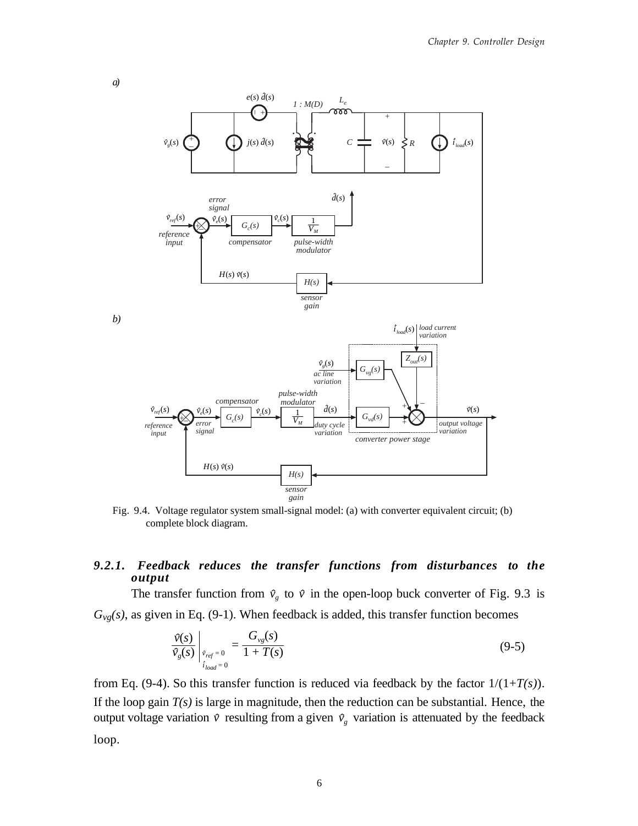*a)*

*b)*



Fig. 9.4. Voltage regulator system small-signal model: (a) with converter equivalent circuit; (b) complete block diagram.

# *9.2.1. Feedback reduces the transfer functions from disturbances to the output*

The transfer function from  $\hat{v}_g$  to  $\hat{v}$  in the open-loop buck converter of Fig. 9.3 is  $G_{\nu g}(s)$ , as given in Eq. (9-1). When feedback is added, this transfer function becomes

$$
\frac{\hat{v}(s)}{\hat{v}_g(s)}\Big|_{\substack{\hat{v}_{ref}=0 \ i_{load}=0}} = \frac{G_{vg}(s)}{1+T(s)}
$$
\n(9-5)

from Eq. (9-4). So this transfer function is reduced via feedback by the factor  $1/(1+T(s))$ . If the loop gain  $T(s)$  is large in magnitude, then the reduction can be substantial. Hence, the output voltage variation  $\hat{v}$  resulting from a given  $\hat{v}_g$  variation is attenuated by the feedback loop.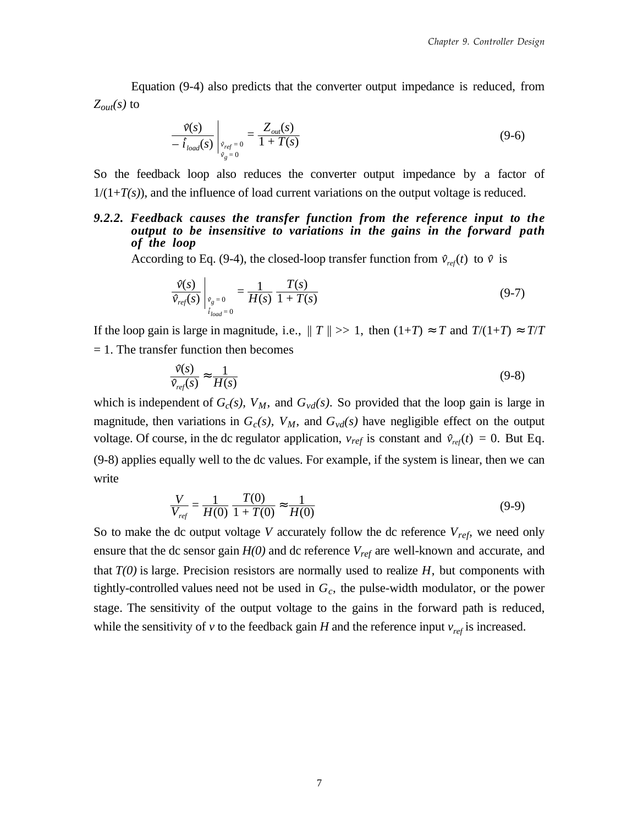Equation (9-4) also predicts that the converter output impedance is reduced, from *Zout(s)* to

$$
\frac{\hat{v}(s)}{-\hat{i}_{load}(s)}\Big|_{\substack{\hat{v}_{ref}=0\\ \hat{v}_g=0}} = \frac{Z_{out}(s)}{1+T(s)}
$$
(9-6)

So the feedback loop also reduces the converter output impedance by a factor of  $1/(1+T(s))$ , and the influence of load current variations on the output voltage is reduced.

### *9.2.2. Feedback causes the transfer function from the reference input to the output to be insensitive to variations in the gains in the forward path of the loop*

According to Eq. (9-4), the closed-loop transfer function from  $\hat{v}_{ref}(t)$  to  $\hat{v}$  is

$$
\frac{\widehat{v}(s)}{\widehat{v}_{ref}(s)}\Big|_{\substack{\widehat{v}_s=0\\i_{load}=0}} = \frac{1}{H(s)} \frac{T(s)}{1+T(s)}
$$
\n(9-7)

If the loop gain is large in magnitude, i.e.,  $||T|| \gg 1$ , then  $(1+T) \approx T$  and  $T/(1+T) \approx T/T$  $= 1$ . The transfer function then becomes

$$
\frac{\hat{v}(s)}{\hat{v}_{ref}(s)} \approx \frac{1}{H(s)}\tag{9-8}
$$

which is independent of  $G_c(s)$ ,  $V_M$ , and  $G_v(d(s))$ . So provided that the loop gain is large in magnitude, then variations in  $G_c(s)$ ,  $V_M$ , and  $G_v(d(s))$  have negligible effect on the output voltage. Of course, in the dc regulator application,  $v_{ref}$  is constant and  $\hat{v}_{ref}(t) = 0$ . But Eq. (9-8) applies equally well to the dc values. For example, if the system is linear, then we can write

$$
\frac{V}{V_{ref}} = \frac{1}{H(0)} \frac{T(0)}{1 + T(0)} \approx \frac{1}{H(0)}
$$
\n(9-9)

So to make the dc output voltage *V* accurately follow the dc reference  $V_{ref}$ , we need only ensure that the dc sensor gain *H(0)* and dc reference *Vref* are well-known and accurate, and that  $T(0)$  is large. Precision resistors are normally used to realize  $H$ , but components with tightly-controlled values need not be used in  $G_c$ , the pulse-width modulator, or the power stage. The sensitivity of the output voltage to the gains in the forward path is reduced, while the sensitivity of  $\nu$  to the feedback gain *H* and the reference input  $\nu_{ref}$  is increased.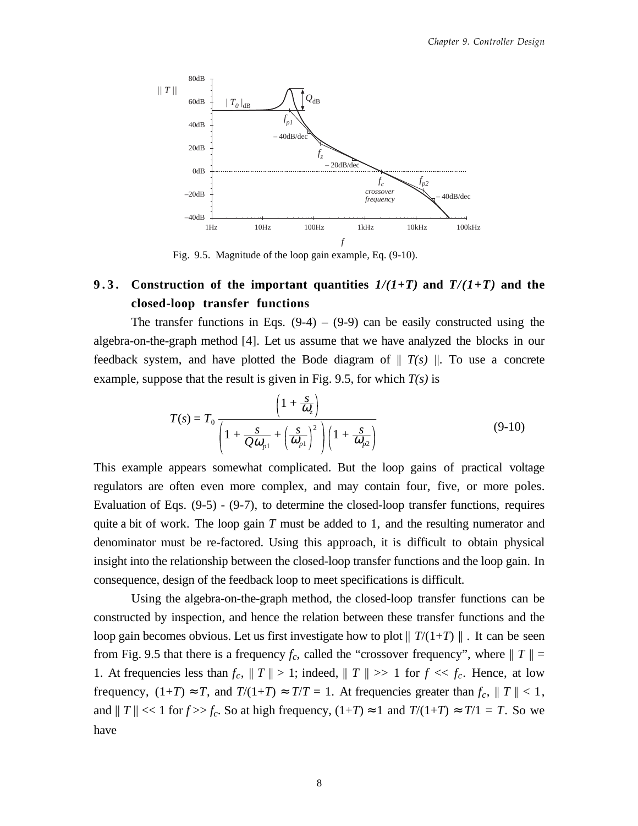

Fig. 9.5. Magnitude of the loop gain example, Eq. (9-10).

# **9.3. Construction of the important quantities** *1/(1+T)* **and** *T/(1+T)* **and the closed-loop transfer functions**

The transfer functions in Eqs.  $(9-4) - (9-9)$  can be easily constructed using the algebra-on-the-graph method [4]. Let us assume that we have analyzed the blocks in our feedback system, and have plotted the Bode diagram of  $|| T(s) ||$ . To use a concrete example, suppose that the result is given in Fig. 9.5, for which  $T(s)$  is

$$
T(s) = T_0 \frac{\left(1 + \frac{s}{\omega_z}\right)}{\left(1 + \frac{s}{Q\omega_{p1}} + \left(\frac{s}{\omega_{p1}}\right)^2\right)\left(1 + \frac{s}{\omega_{p2}}\right)}
$$
(9-10)

This example appears somewhat complicated. But the loop gains of practical voltage regulators are often even more complex, and may contain four, five, or more poles. Evaluation of Eqs. (9-5) - (9-7), to determine the closed-loop transfer functions, requires quite a bit of work. The loop gain *T* must be added to 1, and the resulting numerator and denominator must be re-factored. Using this approach, it is difficult to obtain physical insight into the relationship between the closed-loop transfer functions and the loop gain. In consequence, design of the feedback loop to meet specifications is difficult.

Using the algebra-on-the-graph method, the closed-loop transfer functions can be constructed by inspection, and hence the relation between these transfer functions and the loop gain becomes obvious. Let us first investigate how to plot  $||T/(1+T)||$ . It can be seen from Fig. 9.5 that there is a frequency  $f_c$ , called the "crossover frequency", where  $||T|| =$ 1. At frequencies less than  $f_c$ ,  $||T|| > 1$ ; indeed,  $||T|| >> 1$  for  $f \ll f_c$ . Hence, at low frequency,  $(1+T) \approx T$ , and  $T/(1+T) \approx T/T = 1$ . At frequencies greater than  $f_c$ ,  $||T|| < 1$ , and  $||T|| \ll 1$  for  $f \gg f_c$ . So at high frequency,  $(1+T) \approx 1$  and  $T/(1+T) \approx T/1 = T$ . So we have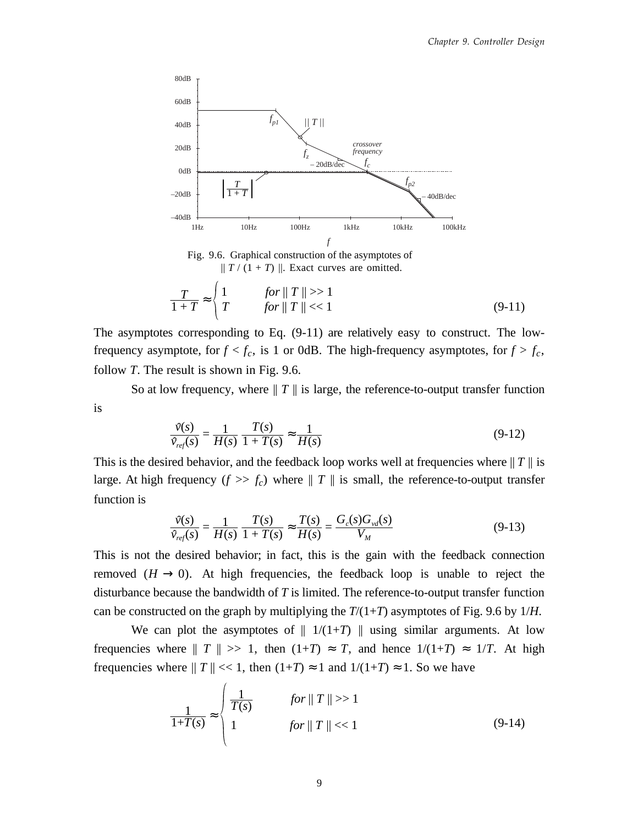

Fig. 9.6. Graphical construction of the asymptotes of  $|| T / (1 + T) ||$ . Exact curves are omitted.

$$
\frac{T}{1+T} \approx \begin{cases} 1 & \text{for } ||T|| > 1 \\ T & \text{for } ||T|| < < 1 \end{cases} \tag{9-11}
$$

The asymptotes corresponding to Eq. (9-11) are relatively easy to construct. The lowfrequency asymptote, for  $f < f_c$ , is 1 or 0dB. The high-frequency asymptotes, for  $f > f_c$ , follow *T*. The result is shown in Fig. 9.6.

So at low frequency, where  $|| T ||$  is large, the reference-to-output transfer function is

$$
\frac{\widehat{v}(s)}{\widehat{v}_{ref}(s)} = \frac{1}{H(s)} \frac{T(s)}{1 + T(s)} \approx \frac{1}{H(s)}
$$
\n(9-12)

This is the desired behavior, and the feedback loop works well at frequencies where  $||T||$  is large. At high frequency  $(f \gg f_c)$  where  $||T||$  is small, the reference-to-output transfer function is

$$
\frac{\hat{v}(s)}{\hat{v}_{ref}(s)} = \frac{1}{H(s)} \frac{T(s)}{1 + T(s)} \approx \frac{T(s)}{H(s)} = \frac{G_c(s)G_{vd}(s)}{V_M}
$$
(9-13)

This is not the desired behavior; in fact, this is the gain with the feedback connection removed  $(H \rightarrow 0)$ . At high frequencies, the feedback loop is unable to reject the disturbance because the bandwidth of *T* is limited. The reference-to-output transfer function can be constructed on the graph by multiplying the  $T/(1+T)$  asymptotes of Fig. 9.6 by  $1/H$ .

We can plot the asymptotes of  $|| 1/(1+T) ||$  using similar arguments. At low frequencies where  $|| T || \gg 1$ , then  $(1+T) \approx T$ , and hence  $1/(1+T) \approx 1/T$ . At high frequencies where  $||T|| \ll 1$ , then  $(1+T) \approx 1$  and  $1/(1+T) \approx 1$ . So we have

$$
\frac{1}{1+T(s)} \approx \begin{cases} \frac{1}{T(s)} & \text{for } ||T|| >> 1\\ 1 & \text{for } ||T|| << 1 \end{cases}
$$
 (9-14)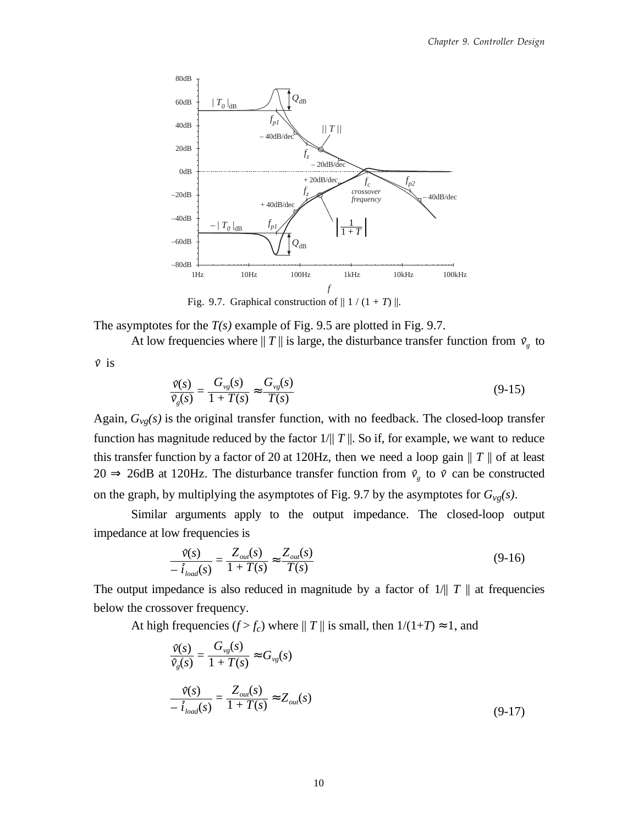

Fig. 9.7. Graphical construction of  $|| 1 / (1 + T) ||$ .

The asymptotes for the  $T(s)$  example of Fig. 9.5 are plotted in Fig. 9.7.

At low frequencies where  $|| T ||$  is large, the disturbance transfer function from  $\hat{v}_g$  to *v* is

$$
\frac{\hat{v}(s)}{\hat{v}_g(s)} = \frac{G_{vg}(s)}{1 + T(s)} \approx \frac{G_{vg}(s)}{T(s)}
$$
\n(9-15)

Again,  $G_{\nu g}(s)$  is the original transfer function, with no feedback. The closed-loop transfer function has magnitude reduced by the factor  $1/||T||$ . So if, for example, we want to reduce this transfer function by a factor of 20 at 120Hz, then we need a loop gain  $||T||$  of at least 20 ⇒ 26dB at 120Hz. The disturbance transfer function from  $\hat{v}_g$  to  $\hat{v}$  can be constructed on the graph, by multiplying the asymptotes of Fig. 9.7 by the asymptotes for  $G_{\nu\rho}(s)$ .

Similar arguments apply to the output impedance. The closed-loop output impedance at low frequencies is

$$
\frac{\hat{v}(s)}{-\hat{i}_{load}(s)} = \frac{Z_{out}(s)}{1+T(s)} \approx \frac{Z_{out}(s)}{T(s)}
$$
(9-16)

The output impedance is also reduced in magnitude by a factor of  $1/\parallel T \parallel$  at frequencies below the crossover frequency.

At high frequencies  $(f > f_c)$  where  $||T||$  is small, then  $1/(1+T) \approx 1$ , and

$$
\frac{\hat{v}(s)}{\hat{v}_g(s)} = \frac{G_{vg}(s)}{1 + T(s)} \approx G_{vg}(s)
$$
\n
$$
\frac{\hat{v}(s)}{-\hat{i}_{load}(s)} = \frac{Z_{out}(s)}{1 + T(s)} \approx Z_{out}(s)
$$
\n(9-17)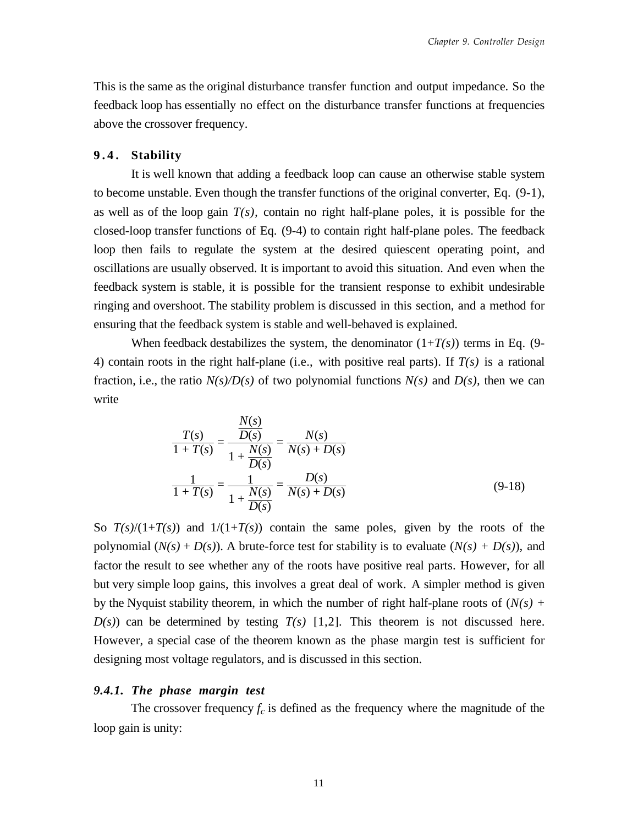This is the same as the original disturbance transfer function and output impedance. So the feedback loop has essentially no effect on the disturbance transfer functions at frequencies above the crossover frequency.

#### **9.4. Stability**

It is well known that adding a feedback loop can cause an otherwise stable system to become unstable. Even though the transfer functions of the original converter, Eq. (9-1), as well as of the loop gain  $T(s)$ , contain no right half-plane poles, it is possible for the closed-loop transfer functions of Eq. (9-4) to contain right half-plane poles. The feedback loop then fails to regulate the system at the desired quiescent operating point, and oscillations are usually observed. It is important to avoid this situation. And even when the feedback system is stable, it is possible for the transient response to exhibit undesirable ringing and overshoot. The stability problem is discussed in this section, and a method for ensuring that the feedback system is stable and well-behaved is explained.

When feedback destabilizes the system, the denominator  $(1+T(s))$  terms in Eq. (9-4) contain roots in the right half-plane (i.e., with positive real parts). If  $T(s)$  is a rational fraction, i.e., the ratio  $N(s)/D(s)$  of two polynomial functions  $N(s)$  and  $D(s)$ , then we can write

$$
\frac{T(s)}{1+T(s)} = \frac{\frac{N(s)}{D(s)}}{1+\frac{N(s)}{D(s)}} = \frac{N(s)}{N(s)+D(s)}
$$
  

$$
\frac{1}{1+T(s)} = \frac{1}{1+\frac{N(s)}{D(s)}} = \frac{D(s)}{N(s)+D(s)}
$$
(9-18)

So  $T(s)/(1+T(s))$  and  $1/(1+T(s))$  contain the same poles, given by the roots of the polynomial  $(N(s) + D(s))$ . A brute-force test for stability is to evaluate  $(N(s) + D(s))$ , and factor the result to see whether any of the roots have positive real parts. However, for all but very simple loop gains, this involves a great deal of work. A simpler method is given by the Nyquist stability theorem, in which the number of right half-plane roots of  $(N(s) +$  $D(s)$  can be determined by testing  $T(s)$  [1,2]. This theorem is not discussed here. However, a special case of the theorem known as the phase margin test is sufficient for designing most voltage regulators, and is discussed in this section.

#### *9.4.1. The phase margin test*

The crossover frequency  $f_c$  is defined as the frequency where the magnitude of the loop gain is unity: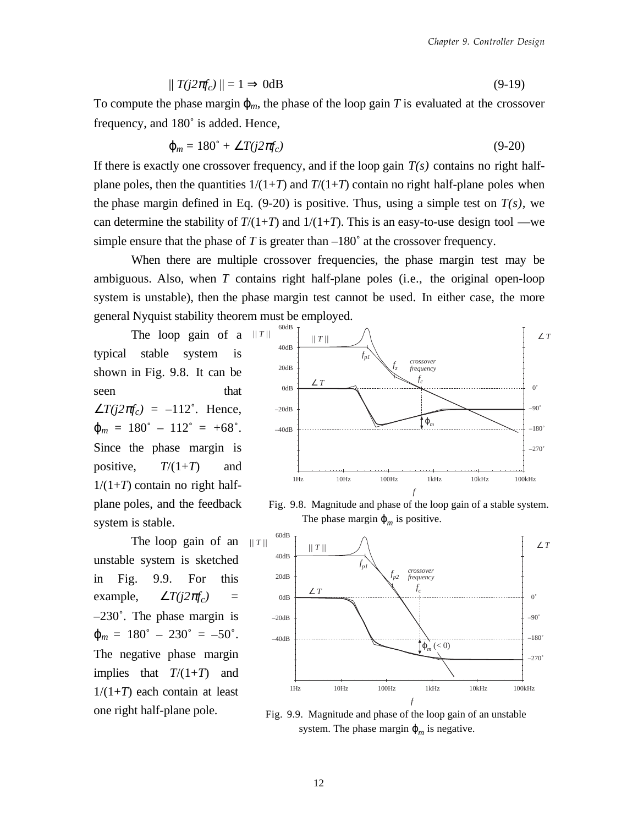$$
||T(j2\pi f_c)|| = 1 \Rightarrow 0 \text{dB}
$$
 (9-19)

To compute the phase margin  $\varphi_m$ , the phase of the loop gain *T* is evaluated at the crossover frequency, and 180˚ is added. Hence,

$$
\varphi_m = 180^\circ + \angle T(j2\pi f_c) \tag{9-20}
$$

If there is exactly one crossover frequency, and if the loop gain  $T(s)$  contains no right halfplane poles, then the quantities  $1/(1+T)$  and  $T/(1+T)$  contain no right half-plane poles when the phase margin defined in Eq.  $(9-20)$  is positive. Thus, using a simple test on  $T(s)$ , we can determine the stability of  $T/(1+T)$  and  $1/(1+T)$ . This is an easy-to-use design tool —we simple ensure that the phase of  $T$  is greater than  $-180^\circ$  at the crossover frequency.

When there are multiple crossover frequencies, the phase margin test may be ambiguous. Also, when *T* contains right half-plane poles (i.e., the original open-loop system is unstable), then the phase margin test cannot be used. In either case, the more general Nyquist stability theorem must be employed.

The loop gain of a  $||T||$ typical stable system is shown in Fig. 9.8. It can be seen that  $\angle T(i2\pi f_c) = -112^\circ$ . Hence,  $\varphi_m = 180^\circ - 112^\circ = +68^\circ$ . Since the phase margin is positive,  $T/(1+T)$  and  $1/(1+T)$  contain no right halfplane poles, and the feedback system is stable.

The loop gain of an  $||T||$ unstable system is sketched in Fig. 9.9. For this example,  $\angle T(j2\pi f_c)$  =  $-230^\circ$ . The phase margin is  $\varphi_m = 180^\circ - 230^\circ = -50^\circ$ . The negative phase margin implies that  $T/(1+T)$  and  $1/(1+T)$  each contain at least one right half-plane pole.



Fig. 9.8. Magnitude and phase of the loop gain of a stable system. The phase margin  $\varphi_m$  is positive.



Fig. 9.9. Magnitude and phase of the loop gain of an unstable system. The phase margin  $\varphi_m$  is negative.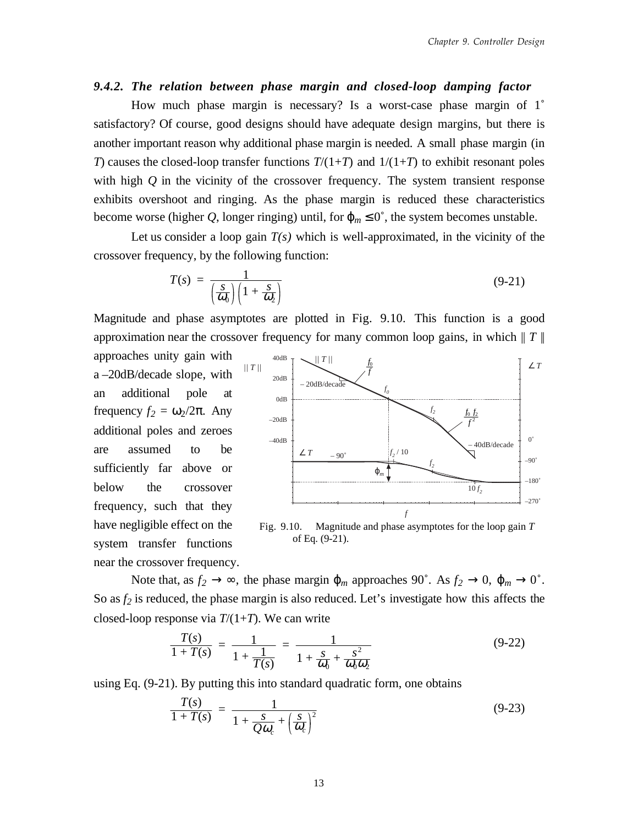### *9.4.2. The relation between phase margin and closed-loop damping factor*

How much phase margin is necessary? Is a worst-case phase margin of 1˚ satisfactory? Of course, good designs should have adequate design margins, but there is another important reason why additional phase margin is needed. A small phase margin (in *T*) causes the closed-loop transfer functions  $T/(1+T)$  and  $1/(1+T)$  to exhibit resonant poles with high *Q* in the vicinity of the crossover frequency. The system transient response exhibits overshoot and ringing. As the phase margin is reduced these characteristics become worse (higher *Q*, longer ringing) until, for  $\varphi_m \leq 0^\circ$ , the system becomes unstable.

Let us consider a loop gain  $T(s)$  which is well-approximated, in the vicinity of the crossover frequency, by the following function:

$$
T(s) = \frac{1}{\left(\frac{s}{\omega_0}\right)\left(1 + \frac{s}{\omega_2}\right)}\tag{9-21}
$$

Magnitude and phase asymptotes are plotted in Fig. 9.10. This function is a good approximation near the crossover frequency for many common loop gains, in which  $||T||$ 

approaches unity gain with a –20dB/decade slope, with an additional pole at frequency  $f_2 = \omega_2/2\pi$ . Any additional poles and zeroes are assumed to be sufficiently far above or below the crossover frequency, such that they have negligible effect on the system transfer functions near the crossover frequency.



Fig. 9.10. Magnitude and phase asymptotes for the loop gain *T* of Eq. (9-21).

Note that, as  $f_2 \rightarrow \infty$ , the phase margin  $\varphi_m$  approaches 90°. As  $f_2 \rightarrow 0$ ,  $\varphi_m \rightarrow 0$ °. So as  $f_2$  is reduced, the phase margin is also reduced. Let's investigate how this affects the closed-loop response via *T*/(1+*T*). We can write

$$
\frac{T(s)}{1+T(s)} = \frac{1}{1+\frac{1}{T(s)}} = \frac{1}{1+\frac{s}{\omega_0}+\frac{s^2}{\omega_0\omega_2}}
$$
(9-22)

using Eq. (9-21). By putting this into standard quadratic form, one obtains

$$
\frac{T(s)}{1+T(s)} = \frac{1}{1+\frac{s}{Q\omega_c} + \left(\frac{s}{\omega_c}\right)^2}
$$
(9-23)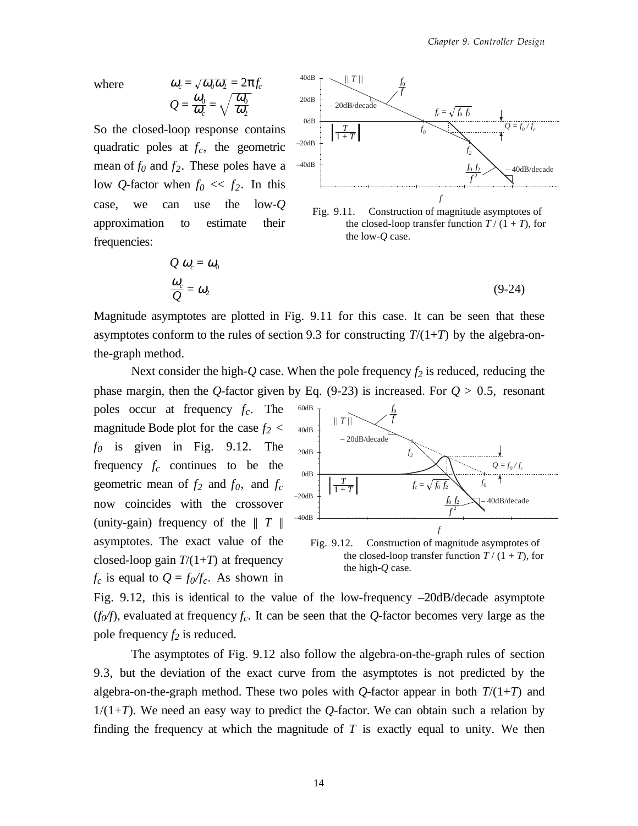where 
$$
\omega_c = \sqrt{\omega_0 \omega_2} = 2\pi f_c
$$
  

$$
Q = \frac{\omega_0}{\omega_c} = \sqrt{\frac{\omega_0}{\omega_2}}
$$

So the closed-loop response contains quadratic poles at  $f_c$ , the geometric mean of  $f_0$  and  $f_2$ . These poles have a low *Q*-factor when  $f_0 \ll f_2$ . In this case, we can use the low-*Q* approximation to estimate their frequencies:

 $Q \omega_c = \omega_0$ 



Fig. 9.11. Construction of magnitude asymptotes of the closed-loop transfer function  $T/(1 + T)$ , for the low-*Q* case.

$$
\frac{\omega_c}{Q} = \omega_2 \tag{9-24}
$$

Magnitude asymptotes are plotted in Fig. 9.11 for this case. It can be seen that these asymptotes conform to the rules of section 9.3 for constructing  $T/(1+T)$  by the algebra-onthe-graph method.

Next consider the high- $Q$  case. When the pole frequency  $f_2$  is reduced, reducing the phase margin, then the *Q*-factor given by Eq. (9-23) is increased. For  $Q > 0.5$ , resonant

poles occur at frequency *fc*. The magnitude Bode plot for the case  $f_2$  < *f0* is given in Fig. 9.12. The frequency  $f_c$  continues to be the geometric mean of  $f_2$  and  $f_0$ , and  $f_c$ now coincides with the crossover (unity-gain) frequency of the  $||T||$ asymptotes. The exact value of the closed-loop gain  $T/(1+T)$  at frequency  $f_c$  is equal to  $Q = f_0/f_c$ . As shown in



Fig. 9.12. Construction of magnitude asymptotes of the closed-loop transfer function  $T/(1+T)$ , for the high-*Q* case.

Fig. 9.12, this is identical to the value of the low-frequency –20dB/decade asymptote  $(f<sub>0</sub>/f)$ , evaluated at frequency  $f<sub>c</sub>$ . It can be seen that the *Q*-factor becomes very large as the pole frequency  $f_2$  is reduced.

The asymptotes of Fig. 9.12 also follow the algebra-on-the-graph rules of section 9.3, but the deviation of the exact curve from the asymptotes is not predicted by the algebra-on-the-graph method. These two poles with  $Q$ -factor appear in both  $T/(1+T)$  and  $1/(1+T)$ . We need an easy way to predict the *Q*-factor. We can obtain such a relation by finding the frequency at which the magnitude of  $T$  is exactly equal to unity. We then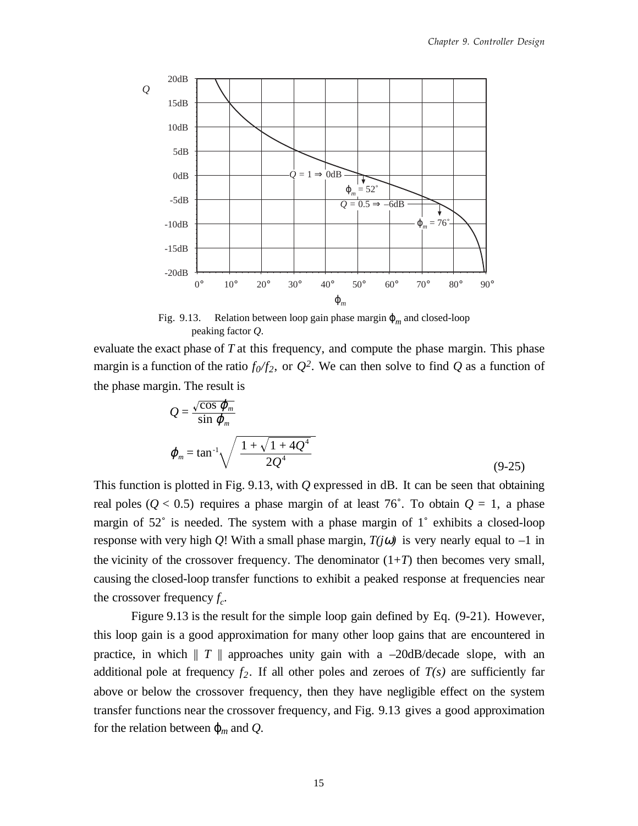

Fig. 9.13. Relation between loop gain phase margin ϕ*m* and closed-loop peaking factor *Q*.

evaluate the exact phase of *T* at this frequency, and compute the phase margin. This phase margin is a function of the ratio  $f_0/f_2$ , or  $Q^2$ . We can then solve to find Q as a function of the phase margin. The result is

$$
Q = \frac{\sqrt{\cos \varphi_m}}{\sin \varphi_m}
$$
  

$$
\varphi_m = \tan^{-1} \sqrt{\frac{1 + \sqrt{1 + 4Q^4}}{2Q^4}}
$$
 (9-25)

This function is plotted in Fig. 9.13, with *Q* expressed in dB. It can be seen that obtaining real poles ( $Q < 0.5$ ) requires a phase margin of at least 76°. To obtain  $Q = 1$ , a phase margin of  $52^\circ$  is needed. The system with a phase margin of  $1^\circ$  exhibits a closed-loop response with very high *Q*! With a small phase margin,  $T(j\omega)$  is very nearly equal to  $-1$  in the vicinity of the crossover frequency. The denominator  $(1+T)$  then becomes very small, causing the closed-loop transfer functions to exhibit a peaked response at frequencies near the crossover frequency  $f_c$ .

Figure 9.13 is the result for the simple loop gain defined by Eq. (9-21). However, this loop gain is a good approximation for many other loop gains that are encountered in practice, in which  $|| T ||$  approaches unity gain with a  $-20$ dB/decade slope, with an additional pole at frequency  $f_2$ . If all other poles and zeroes of  $T(s)$  are sufficiently far above or below the crossover frequency, then they have negligible effect on the system transfer functions near the crossover frequency, and Fig. 9.13 gives a good approximation for the relation between ϕ*m* and *Q*.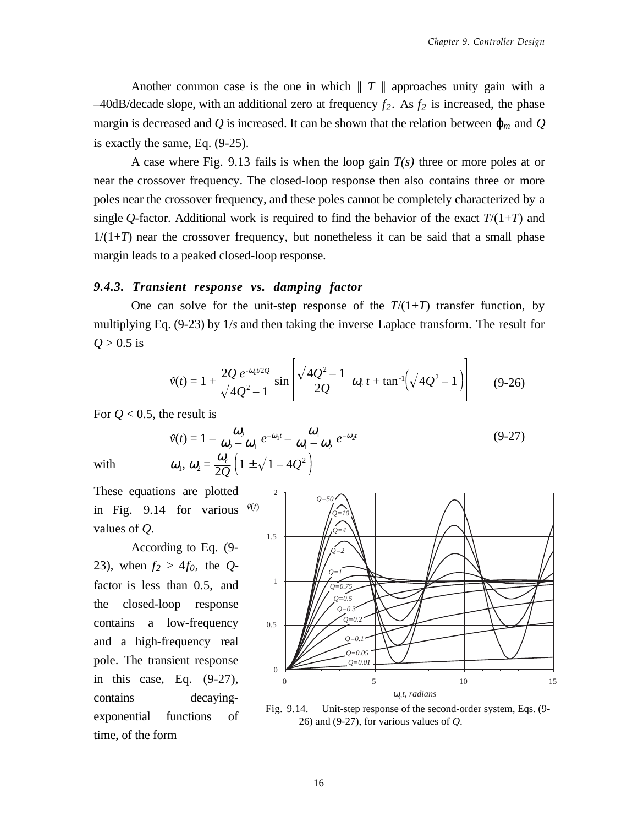Another common case is the one in which  $|| T ||$  approaches unity gain with a  $-40$ dB/decade slope, with an additional zero at frequency  $f_2$ . As  $f_2$  is increased, the phase margin is decreased and  $Q$  is increased. It can be shown that the relation between  $\varphi_m$  and  $Q$ is exactly the same, Eq. (9-25).

A case where Fig. 9.13 fails is when the loop gain  $T(s)$  three or more poles at or near the crossover frequency. The closed-loop response then also contains three or more poles near the crossover frequency, and these poles cannot be completely characterized by a single *Q*-factor. Additional work is required to find the behavior of the exact  $T/(1+T)$  and  $1/(1+T)$  near the crossover frequency, but nonetheless it can be said that a small phase margin leads to a peaked closed-loop response.

### *9.4.3. Transient response vs. damping factor*

One can solve for the unit-step response of the  $T/(1+T)$  transfer function, by multiplying Eq. (9-23) by 1/*s* and then taking the inverse Laplace transform. The result for  $Q > 0.5$  is

$$
\hat{v}(t) = 1 + \frac{2Q \, e^{-\omega_c t/2Q}}{\sqrt{4Q^2 - 1}} \sin \left[ \frac{\sqrt{4Q^2 - 1}}{2Q} \, \omega_c \, t + \tan^{-1} \left( \sqrt{4Q^2 - 1} \right) \right] \tag{9-26}
$$

For  $Q < 0.5$ , the result is

$$
\hat{v}(t) = 1 - \frac{\omega_2}{\omega_2 - \omega_1} e^{-\omega_1 t} - \frac{\omega_1}{\omega_1 - \omega_2} e^{-\omega_2 t}
$$
\n
$$
\omega_1, \omega_2 = \frac{\omega_c}{2Q} \left( 1 \pm \sqrt{1 - 4Q^2} \right)
$$
\n(9-27)

 $with$ 

These equations are plotted in Fig. 9.14 for various *<sup>v</sup>*(*t*) *Q=10* values of *Q*.

According to Eq. (9- 23), when  $f_2 > 4f_0$ , the *Q*factor is less than 0.5, and the closed-loop response contains a low-frequency and a high-frequency real pole. The transient response in this case, Eq. (9-27), contains decayingexponential functions of time, of the form



Fig. 9.14. Unit-step response of the second-order system, Eqs. (9- 26) and (9-27), for various values of *Q*.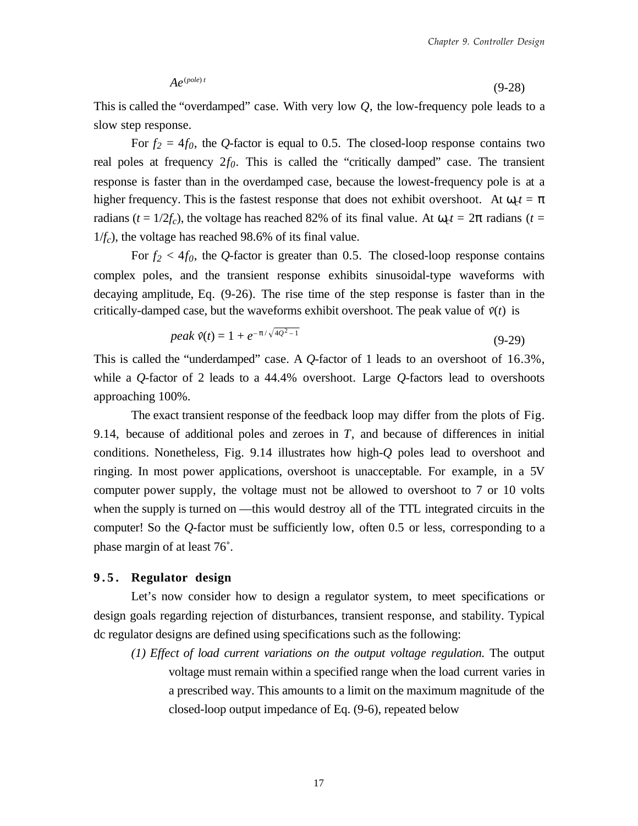$$
Ae^{(pole)t} \tag{9-28}
$$

This is called the "overdamped" case. With very low *Q*, the low-frequency pole leads to a slow step response.

For  $f_2 = 4f_0$ , the *Q*-factor is equal to 0.5. The closed-loop response contains two real poles at frequency  $2f_0$ . This is called the "critically damped" case. The transient response is faster than in the overdamped case, because the lowest-frequency pole is at a higher frequency. This is the fastest response that does not exhibit overshoot. At  $\omega_c t = \pi$ radians ( $t = 1/2f_c$ ), the voltage has reached 82% of its final value. At  $\omega_c t = 2\pi$  radians ( $t =$ 1/*fc*), the voltage has reached 98.6% of its final value.

For  $f_2$  <  $4f_0$ , the *Q*-factor is greater than 0.5. The closed-loop response contains complex poles, and the transient response exhibits sinusoidal-type waveforms with decaying amplitude, Eq. (9-26). The rise time of the step response is faster than in the critically-damped case, but the waveforms exhibit overshoot. The peak value of  $\hat{v}(t)$  is

$$
peak \ \hat{v}(t) = 1 + e^{-\pi/\sqrt{4Q^2 - 1}}
$$
 (9-29)

This is called the "underdamped" case. A *Q*-factor of 1 leads to an overshoot of 16.3%, while a *Q*-factor of 2 leads to a 44.4% overshoot. Large *Q*-factors lead to overshoots approaching 100%.

The exact transient response of the feedback loop may differ from the plots of Fig. 9.14, because of additional poles and zeroes in *T*, and because of differences in initial conditions. Nonetheless, Fig. 9.14 illustrates how high-*Q* poles lead to overshoot and ringing. In most power applications, overshoot is unacceptable. For example, in a 5V computer power supply, the voltage must not be allowed to overshoot to 7 or 10 volts when the supply is turned on —this would destroy all of the TTL integrated circuits in the computer! So the *Q*-factor must be sufficiently low, often 0.5 or less, corresponding to a phase margin of at least 76˚.

#### **9.5. Regulator design**

Let's now consider how to design a regulator system, to meet specifications or design goals regarding rejection of disturbances, transient response, and stability. Typical dc regulator designs are defined using specifications such as the following:

*(1) Effect of load current variations on the output voltage regulation.* The output voltage must remain within a specified range when the load current varies in a prescribed way. This amounts to a limit on the maximum magnitude of the closed-loop output impedance of Eq. (9-6), repeated below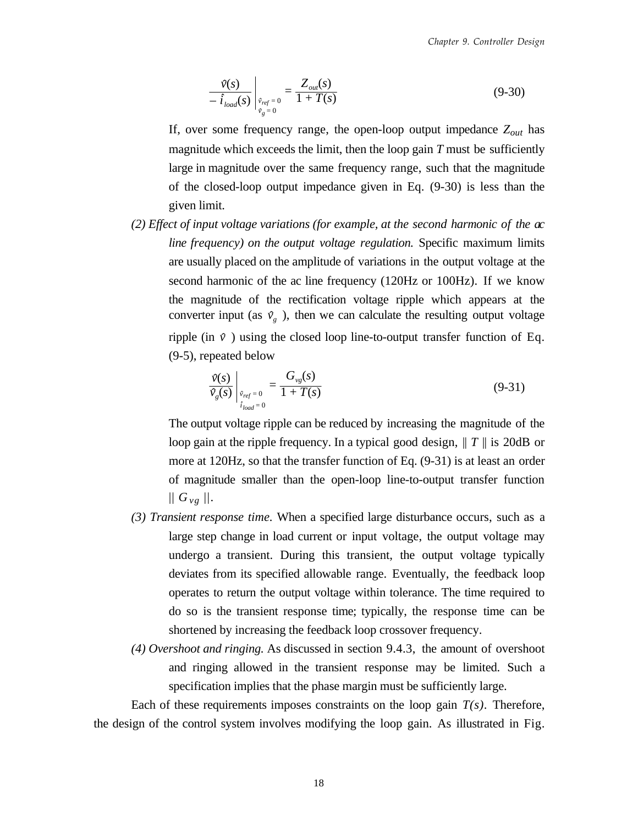$$
\frac{\hat{v}(s)}{-\hat{i}_{load}(s)}\Big|_{\substack{\hat{v}_{ref}=0\\ \hat{v}_g=0}} = \frac{Z_{out}(s)}{1+T(s)}
$$
(9-30)

If, over some frequency range, the open-loop output impedance  $Z_{out}$  has magnitude which exceeds the limit, then the loop gain  $T$  must be sufficiently large in magnitude over the same frequency range, such that the magnitude of the closed-loop output impedance given in Eq. (9-30) is less than the given limit.

*(2) Effect of input voltage variations (for example, at the second harmonic of the ac line frequency) on the output voltage regulation.* Specific maximum limits are usually placed on the amplitude of variations in the output voltage at the second harmonic of the ac line frequency (120Hz or 100Hz). If we know the magnitude of the rectification voltage ripple which appears at the converter input (as  $\hat{v}_e$ ), then we can calculate the resulting output voltage ripple (in  $\hat{v}$ ) using the closed loop line-to-output transfer function of Eq. (9-5), repeated below

$$
\frac{\hat{v}(s)}{\hat{v}_g(s)}\Big|_{\substack{\hat{v}_{ref}=0 \ i_{load}=0}} = \frac{G_{vg}(s)}{1+T(s)}
$$
\n(9-31)

The output voltage ripple can be reduced by increasing the magnitude of the loop gain at the ripple frequency. In a typical good design,  $|| T ||$  is 20dB or more at 120Hz, so that the transfer function of Eq. (9-31) is at least an order of magnitude smaller than the open-loop line-to-output transfer function  $|| G_{\nu g} ||.$ 

- *(3) Transient response time.* When a specified large disturbance occurs, such as a large step change in load current or input voltage, the output voltage may undergo a transient. During this transient, the output voltage typically deviates from its specified allowable range. Eventually, the feedback loop operates to return the output voltage within tolerance. The time required to do so is the transient response time; typically, the response time can be shortened by increasing the feedback loop crossover frequency.
- *(4) Overshoot and ringing.* As discussed in section 9.4.3, the amount of overshoot and ringing allowed in the transient response may be limited. Such a specification implies that the phase margin must be sufficiently large.

Each of these requirements imposes constraints on the loop gain  $T(s)$ . Therefore, the design of the control system involves modifying the loop gain. As illustrated in Fig.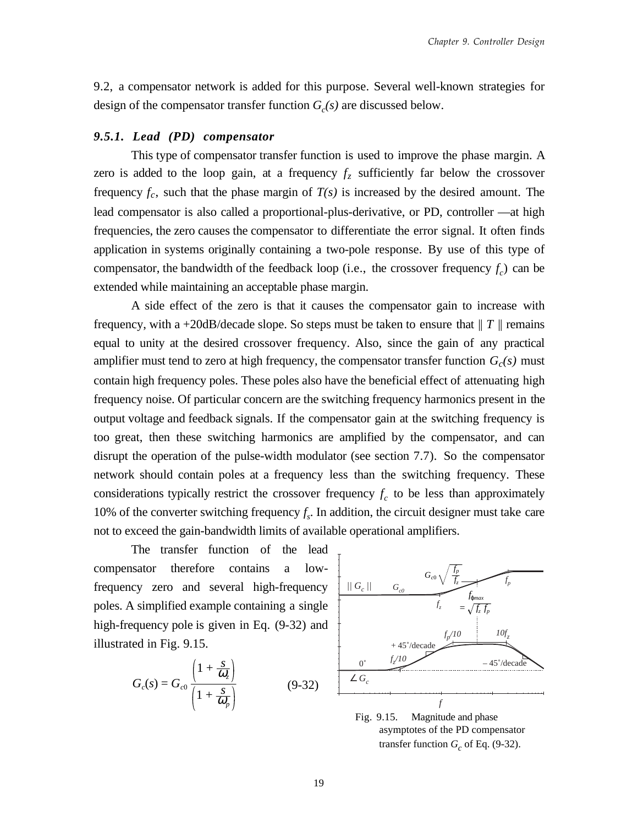9.2, a compensator network is added for this purpose. Several well-known strategies for design of the compensator transfer function  $G<sub>c</sub>(s)$  are discussed below.

# *9.5.1. Lead (PD) compensator*

This type of compensator transfer function is used to improve the phase margin. A zero is added to the loop gain, at a frequency  $f<sub>z</sub>$  sufficiently far below the crossover frequency  $f_c$ , such that the phase margin of  $T(s)$  is increased by the desired amount. The lead compensator is also called a proportional-plus-derivative, or PD, controller —at high frequencies, the zero causes the compensator to differentiate the error signal. It often finds application in systems originally containing a two-pole response. By use of this type of compensator, the bandwidth of the feedback loop (i.e., the crossover frequency  $f_c$ ) can be extended while maintaining an acceptable phase margin.

A side effect of the zero is that it causes the compensator gain to increase with frequency, with a  $+20$ dB/decade slope. So steps must be taken to ensure that  $||T||$  remains equal to unity at the desired crossover frequency. Also, since the gain of any practical amplifier must tend to zero at high frequency, the compensator transfer function  $G_c(s)$  must contain high frequency poles. These poles also have the beneficial effect of attenuating high frequency noise. Of particular concern are the switching frequency harmonics present in the output voltage and feedback signals. If the compensator gain at the switching frequency is too great, then these switching harmonics are amplified by the compensator, and can disrupt the operation of the pulse-width modulator (see section 7.7). So the compensator network should contain poles at a frequency less than the switching frequency. These considerations typically restrict the crossover frequency  $f_c$  to be less than approximately 10% of the converter switching frequency  $f_s$ . In addition, the circuit designer must take care not to exceed the gain-bandwidth limits of available operational amplifiers.

The transfer function of the lead compensator therefore contains a lowfrequency zero and several high-frequency poles. A simplified example containing a single high-frequency pole is given in Eq. (9-32) and illustrated in Fig. 9.15.

$$
G_c(s) = G_{c0} \frac{\left(1 + \frac{s}{\omega_z}\right)}{\left(1 + \frac{s}{\omega_p}\right)}
$$
(9-32)



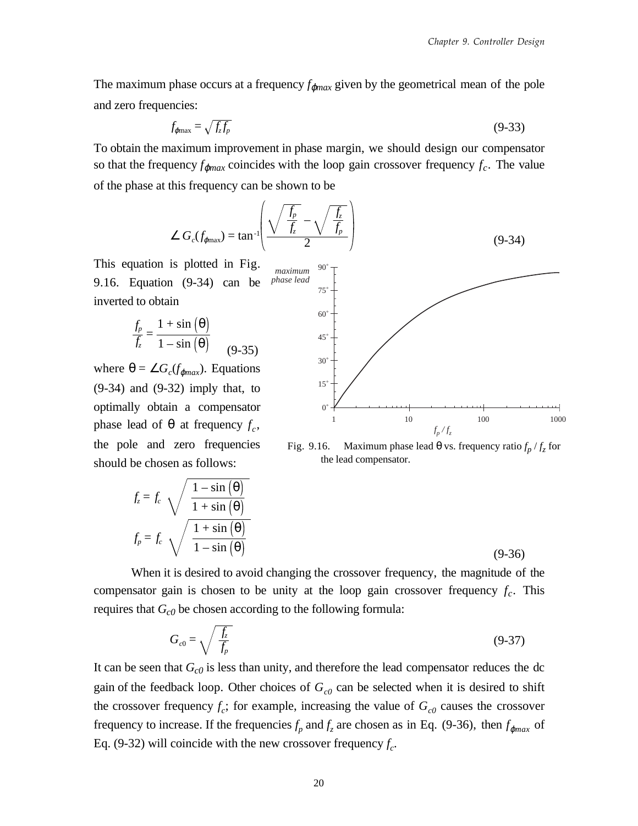The maximum phase occurs at a frequency  $f_{\varphi max}$  given by the geometrical mean of the pole and zero frequencies:

$$
f_{\phi\text{max}} = \sqrt{f_z f_p} \tag{9-33}
$$

To obtain the maximum improvement in phase margin, we should design our compensator so that the frequency  $f_{\phi max}$  coincides with the loop gain crossover frequency  $f_c$ . The value of the phase at this frequency can be shown to be

$$
\angle G_c(f_{\phi\text{max}}) = \tan^{-1}\left(\frac{\sqrt{\frac{f_p}{f_z}} - \sqrt{\frac{f_z}{f_p}}}{2}\right)
$$
(9-34)

This equation is plotted in Fig. 9.16. Equation (9-34) can be inverted to obtain *maximum phase lead*

$$
\frac{f_p}{f_z} = \frac{1 + \sin(\theta)}{1 - \sin(\theta)}
$$
\n(9-35)

where  $\theta = \angle G_c(f_{\text{omax}})$ . Equations (9-34) and (9-32) imply that, to optimally obtain a compensator phase lead of θ at frequency  $f_c$ , the pole and zero frequencies should be chosen as follows:

> $1 - \sin(\theta)$  $1 + \sin(\theta)$

 $1 + \sin(\theta)$ 

 $f_z = f_c$ 

 $f_p = f_c$ 



Fig. 9.16. Maximum phase lead  $\theta$  vs. frequency ratio  $f_p / f_z$  for the lead compensator.

 $1 - \sin(\theta)$  (9-36)

When it is desired to avoid changing the crossover frequency, the magnitude of the compensator gain is chosen to be unity at the loop gain crossover frequency  $f_c$ . This requires that  $G_{c0}$  be chosen according to the following formula:

$$
G_{c0} = \sqrt{\frac{f_z}{f_p}}
$$
 (9-37)

It can be seen that  $G_{c0}$  is less than unity, and therefore the lead compensator reduces the dc gain of the feedback loop. Other choices of  $G<sub>c0</sub>$  can be selected when it is desired to shift the crossover frequency  $f_c$ ; for example, increasing the value of  $G_{c0}$  causes the crossover frequency to increase. If the frequencies  $f_p$  and  $f_z$  are chosen as in Eq. (9-36), then  $f_{\varphi max}$  of Eq. (9-32) will coincide with the new crossover frequency  $f_c$ .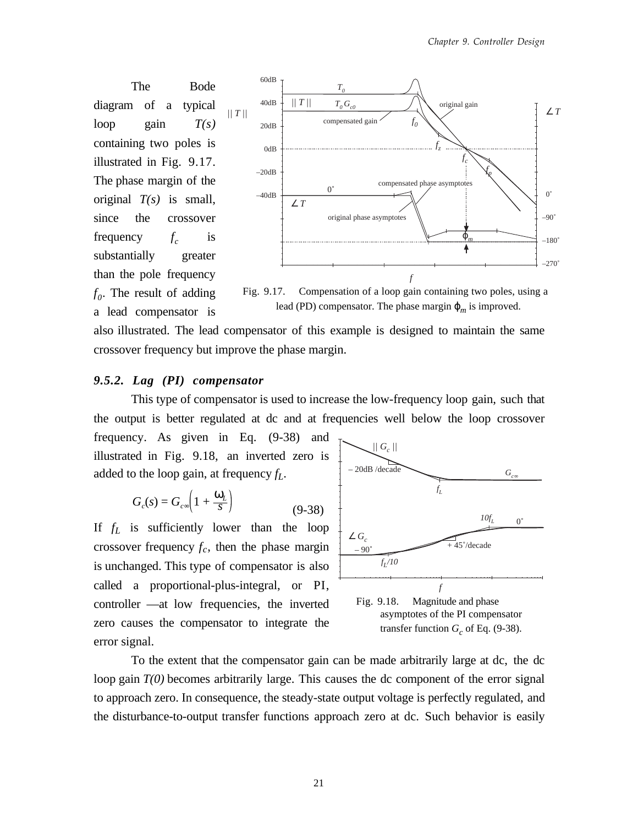The Bode diagram of a typical loop gain *T(s)* containing two poles is illustrated in Fig. 9.17. The phase margin of the original *T(s)* is small, since the crossover frequency  $f_c$  is substantially greater than the pole frequency  $f<sub>0</sub>$ . The result of adding a lead compensator is



Fig. 9.17. Compensation of a loop gain containing two poles, using a lead (PD) compensator. The phase margin ϕ*m* is improved.

also illustrated. The lead compensator of this example is designed to maintain the same crossover frequency but improve the phase margin.

#### *9.5.2. Lag (PI) compensator*

This type of compensator is used to increase the low-frequency loop gain, such that the output is better regulated at dc and at frequencies well below the loop crossover

frequency. As given in Eq. (9-38) and illustrated in Fig. 9.18, an inverted zero is added to the loop gain, at frequency *fL*.

$$
G_c(s) = G_{\text{cos}} \left( 1 + \frac{\omega_L}{s} \right) \tag{9-38}
$$

If *fL* is sufficiently lower than the loop crossover frequency  $f_c$ , then the phase margin is unchanged. This type of compensator is also called a proportional-plus-integral, or PI, controller —at low frequencies, the inverted zero causes the compensator to integrate the error signal.



To the extent that the compensator gain can be made arbitrarily large at dc, the dc loop gain  $T(0)$  becomes arbitrarily large. This causes the dc component of the error signal to approach zero. In consequence, the steady-state output voltage is perfectly regulated, and the disturbance-to-output transfer functions approach zero at dc. Such behavior is easily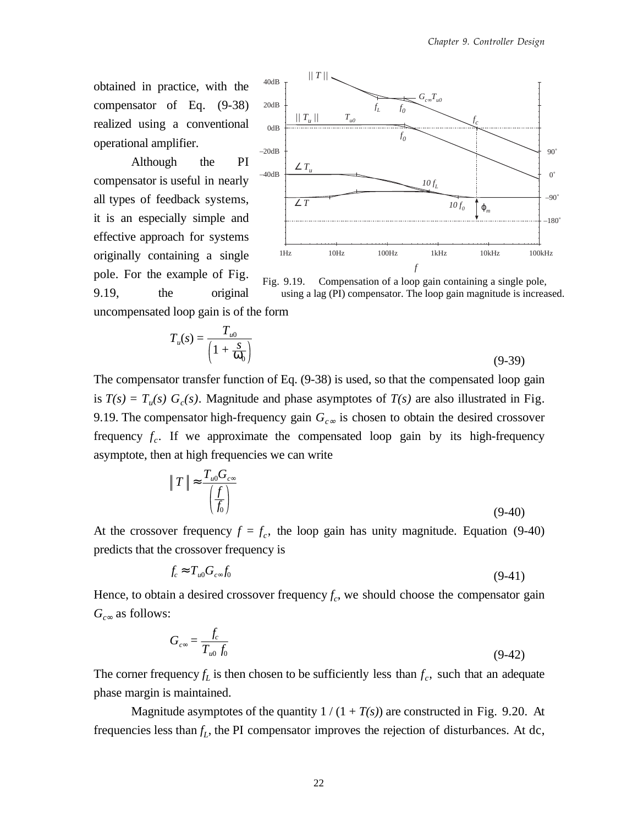obtained in practice, with the compensator of Eq. (9-38) realized using a conventional operational amplifier.

Although the PI compensator is useful in nearly all types of feedback systems, it is an especially simple and effective approach for systems originally containing a single pole. For the example of Fig. 9.19, the original uncompensated loop gain is of the form



Fig. 9.19. Compensation of a loop gain containing a single pole, using a lag (PI) compensator. The loop gain magnitude is increased.

$$
T_u(s) = \frac{T_{u0}}{\left(1 + \frac{s}{\omega_0}\right)}
$$
\n
$$
(9-39)
$$

The compensator transfer function of Eq. (9-38) is used, so that the compensated loop gain is  $T(s) = T_u(s) G_c(s)$ . Magnitude and phase asymptotes of  $T(s)$  are also illustrated in Fig. 9.19. The compensator high-frequency gain  $G_{c\infty}$  is chosen to obtain the desired crossover frequency  $f_c$ . If we approximate the compensated loop gain by its high-frequency asymptote, then at high frequencies we can write

$$
\|T\| \approx \frac{T_{u0} G_{\text{cos}}}{\left(\frac{f}{f_0}\right)}\tag{9-40}
$$

At the crossover frequency  $f = f_c$ , the loop gain has unity magnitude. Equation (9-40) predicts that the crossover frequency is

$$
f_c \approx T_{u0} G_{c\infty} f_0 \tag{9-41}
$$

Hence, to obtain a desired crossover frequency  $f_c$ , we should choose the compensator gain *G*<sub>∞</sub> as follows:

$$
G_{\rm c\infty} = \frac{f_{\rm c}}{T_{\rm u0} f_0} \tag{9-42}
$$

The corner frequency  $f_L$  is then chosen to be sufficiently less than  $f_c$ , such that an adequate phase margin is maintained.

Magnitude asymptotes of the quantity  $1/(1 + T(s))$  are constructed in Fig. 9.20. At frequencies less than  $f_L$ , the PI compensator improves the rejection of disturbances. At dc,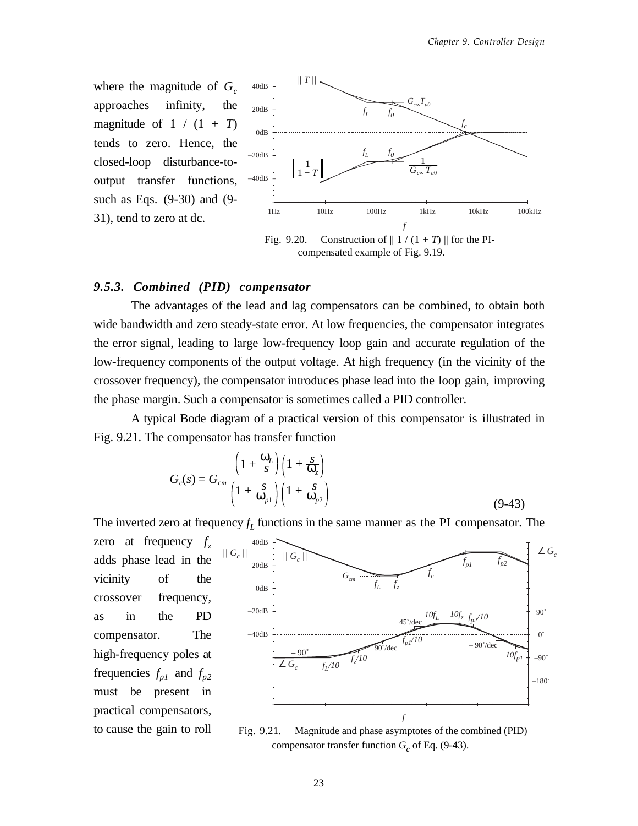where the magnitude of  $G_c$ approaches infinity, the magnitude of  $1 / (1 + T)$ tends to zero. Hence, the closed-loop disturbance-tooutput transfer functions, such as Eqs. (9-30) and (9- 31), tend to zero at dc.



#### *9.5.3. Combined (PID) compensator*

The advantages of the lead and lag compensators can be combined, to obtain both wide bandwidth and zero steady-state error. At low frequencies, the compensator integrates the error signal, leading to large low-frequency loop gain and accurate regulation of the low-frequency components of the output voltage. At high frequency (in the vicinity of the crossover frequency), the compensator introduces phase lead into the loop gain, improving the phase margin. Such a compensator is sometimes called a PID controller.

A typical Bode diagram of a practical version of this compensator is illustrated in Fig. 9.21. The compensator has transfer function

$$
G_c(s) = G_{cm} \frac{\left(1 + \frac{\omega_L}{s}\right)\left(1 + \frac{s}{\omega_z}\right)}{\left(1 + \frac{s}{\omega_{p1}}\right)\left(1 + \frac{s}{\omega_{p2}}\right)}
$$
(9-43)

The inverted zero at frequency  $f_L$  functions in the same manner as the PI compensator. The

zero at frequency  $f<sub>z</sub>$ adds phase lead in the vicinity of the crossover frequency, as in the PD compensator. The high-frequency poles at frequencies  $f_{p1}$  and  $f_{p2}$ must be present in practical compensators, to cause the gain to roll



Fig. 9.21. Magnitude and phase asymptotes of the combined (PID) compensator transfer function  $G_c$  of Eq. (9-43).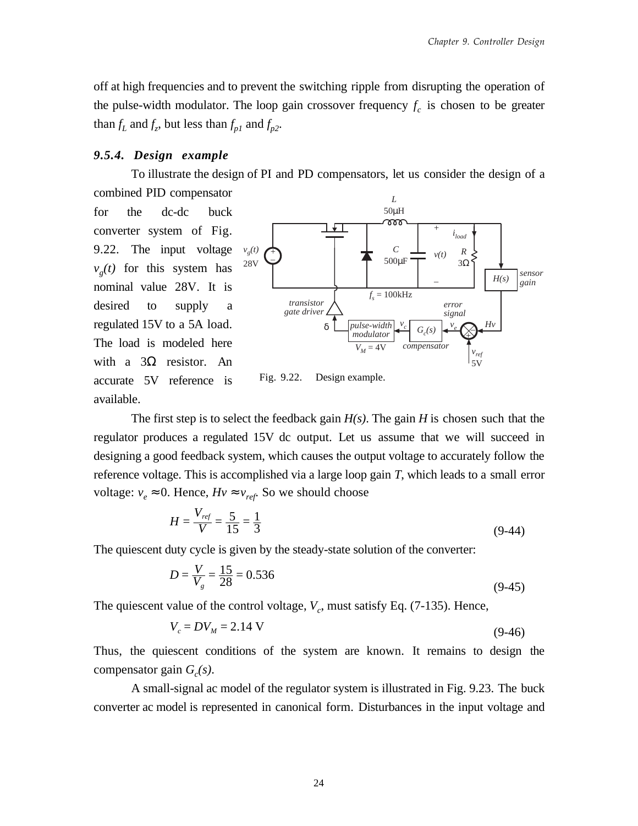off at high frequencies and to prevent the switching ripple from disrupting the operation of the pulse-width modulator. The loop gain crossover frequency  $f_c$  is chosen to be greater than  $f_L$  and  $f_z$ , but less than  $f_{p1}$  and  $f_{p2}$ .

# *9.5.4. Design example*

To illustrate the design of PI and PD compensators, let us consider the design of a

combined PID compensator for the dc-dc buck converter system of Fig. 9.22. The input voltage  $v_g(t)$  for this system has nominal value 28V. It is desired to supply a regulated 15V to a 5A load. The load is modeled here with a  $3\Omega$  resistor. An accurate 5V reference is available.



Fig. 9.22. Design example.

The first step is to select the feedback gain  $H(s)$ . The gain  $H$  is chosen such that the regulator produces a regulated 15V dc output. Let us assume that we will succeed in designing a good feedback system, which causes the output voltage to accurately follow the reference voltage. This is accomplished via a large loop gain *T*, which leads to a small error voltage:  $v_e \approx 0$ . Hence,  $Hv \approx v_{ref}$ . So we should choose

$$
H = \frac{V_{ref}}{V} = \frac{5}{15} = \frac{1}{3}
$$
 (9-44)

The quiescent duty cycle is given by the steady-state solution of the converter:

$$
D = \frac{V}{V_g} = \frac{15}{28} = 0.536\tag{9-45}
$$

The quiescent value of the control voltage,  $V_c$ , must satisfy Eq. (7-135). Hence,

$$
V_c = DV_M = 2.14 \text{ V}
$$
\n(9-46)

Thus, the quiescent conditions of the system are known. It remains to design the compensator gain  $G_c(s)$ .

A small-signal ac model of the regulator system is illustrated in Fig. 9.23. The buck converter ac model is represented in canonical form. Disturbances in the input voltage and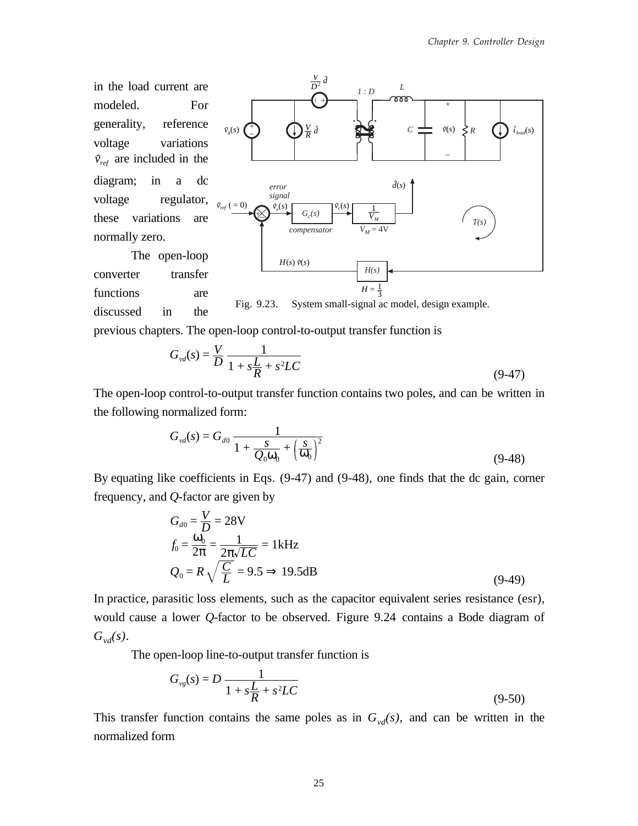in the load current are modeled. For generality, reference voltage variations  $\hat{v}_{ref}$  are included in the diagram; in a dc voltage regulator, these variations are normally zero.

The open-loop

converter transfer functions are discussed in the





previous chapters. The open-loop control-to-output transfer function is

$$
G_{vd}(s) = \frac{V}{D} \frac{1}{1 + s\frac{L}{R} + s^2 LC}
$$
\n(9-47)

The open-loop control-to-output transfer function contains two poles, and can be written in the following normalized form:

$$
G_{vd}(s) = G_{d0} \frac{1}{1 + \frac{s}{Q_0 \omega_0} + (\frac{s}{\omega_0})^2}
$$
(9-48)

By equating like coefficients in Eqs. (9-47) and (9-48), one finds that the dc gain, corner frequency, and *Q*-factor are given by

$$
G_{d0} = \frac{V}{D} = 28V
$$
  
\n
$$
f_0 = \frac{\omega_0}{2\pi} = \frac{1}{2\pi\sqrt{LC}} = 1 \text{kHz}
$$
  
\n
$$
Q_0 = R \sqrt{\frac{C}{L}} = 9.5 \Rightarrow 19.5 \text{dB}
$$
 (9-49)

In practice, parasitic loss elements, such as the capacitor equivalent series resistance (esr), would cause a lower *Q*-factor to be observed. Figure 9.24 contains a Bode diagram of  $G_{\nu d}(s)$ .

The open-loop line-to-output transfer function is

$$
G_{vg}(s) = D \frac{1}{1 + s\frac{L}{R} + s^2 LC}
$$
\n(9-50)

This transfer function contains the same poles as in  $G_{vd}(s)$ , and can be written in the normalized form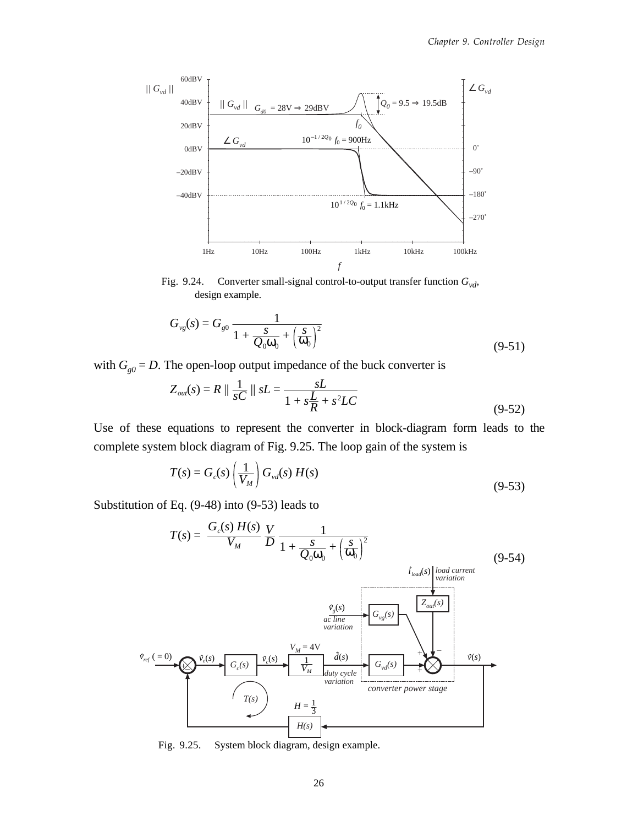

Fig. 9.24. Converter small-signal control-to-output transfer function  $G_{vd}$ , design example.

$$
G_{vg}(s) = G_{g0} \frac{1}{1 + \frac{s}{Q_0 \omega_0} + (\frac{s}{\omega_0})^2}
$$
(9-51)

with  $G_{g0} = D$ . The open-loop output impedance of the buck converter is

$$
Z_{out}(s) = R \parallel \frac{1}{sC} \parallel sL = \frac{sL}{1 + s\frac{L}{R} + s^2 LC}
$$
 (9-52)

Use of these equations to represent the converter in block-diagram form leads to the complete system block diagram of Fig. 9.25. The loop gain of the system is

$$
T(s) = G_c(s) \left(\frac{1}{V_M}\right) G_{vd}(s) H(s)
$$
\n(9-53)

Substitution of Eq. (9-48) into (9-53) leads to



Fig. 9.25. System block diagram, design example.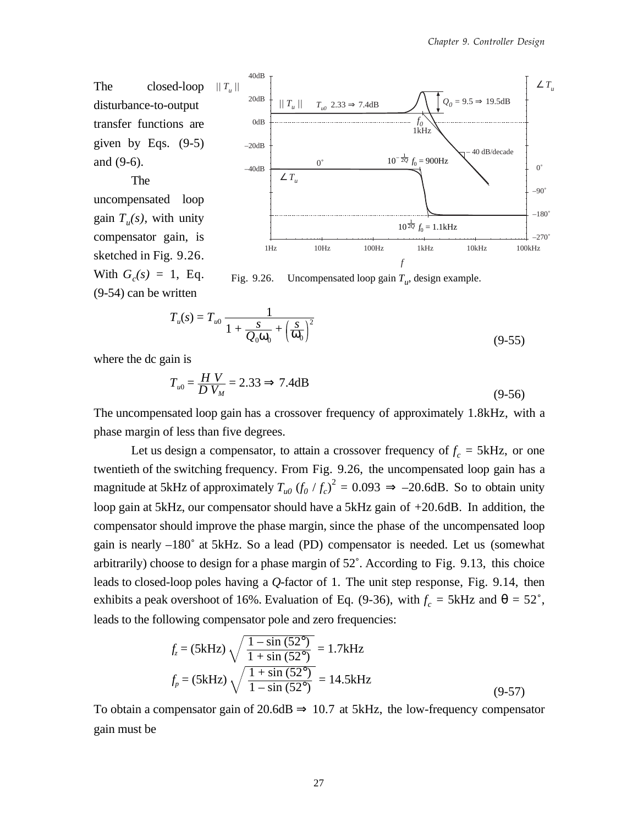

$$
T_u(s) = T_{u0} \frac{1}{1 + \frac{s}{Q_0 \omega_0} + (\frac{s}{\omega_0})^2}
$$
(9-55)

where the dc gain is

$$
T_{u0} = \frac{HV}{DV_M} = 2.33 \Rightarrow 7.4 \text{dB}
$$
\n
$$
(9-56)
$$

The uncompensated loop gain has a crossover frequency of approximately 1.8kHz, with a phase margin of less than five degrees.

Let us design a compensator, to attain a crossover frequency of  $f_c = 5kHz$ , or one twentieth of the switching frequency. From Fig. 9.26, the uncompensated loop gain has a magnitude at 5kHz of approximately  $T_{u0} (f_0/f_c)^2 = 0.093 \Rightarrow -20.6$ dB. So to obtain unity loop gain at 5kHz, our compensator should have a 5kHz gain of  $+20.6$ dB. In addition, the compensator should improve the phase margin, since the phase of the uncompensated loop gain is nearly –180˚ at 5kHz. So a lead (PD) compensator is needed. Let us (somewhat arbitrarily) choose to design for a phase margin of 52˚. According to Fig. 9.13, this choice leads to closed-loop poles having a *Q*-factor of 1. The unit step response, Fig. 9.14, then exhibits a peak overshoot of 16%. Evaluation of Eq. (9-36), with  $f_c = 5kHz$  and  $\theta = 52^\circ$ , leads to the following compensator pole and zero frequencies:

$$
f_z = (5kHz) \sqrt{\frac{1 - \sin(52^\circ)}{1 + \sin(52^\circ)}} = 1.7kHz
$$
  

$$
f_p = (5kHz) \sqrt{\frac{1 + \sin(52^\circ)}{1 - \sin(52^\circ)}} = 14.5kHz
$$
 (9-57)

To obtain a compensator gain of 20.6dB  $\Rightarrow$  10.7 at 5kHz, the low-frequency compensator gain must be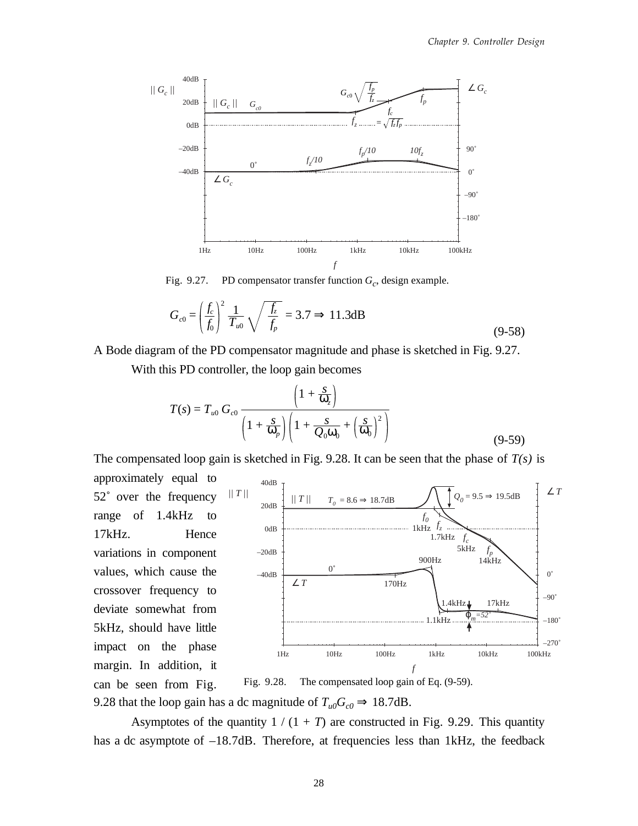

Fig. 9.27. PD compensator transfer function  $G_c$ , design example.

$$
G_{c0} = \left(\frac{f_c}{f_0}\right)^2 \frac{1}{T_{u0}} \sqrt{\frac{f_z}{f_p}} = 3.7 \Rightarrow 11.3 \text{dB}
$$
\n(9-58)

A Bode diagram of the PD compensator magnitude and phase is sketched in Fig. 9.27.

With this PD controller, the loop gain becomes

$$
T(s) = T_{u0} G_{c0} \frac{\left(1 + \frac{s}{\omega_z}\right)}{\left(1 + \frac{s}{\omega_p}\right)\left(1 + \frac{s}{Q_0 \omega_0} + \left(\frac{s}{\omega_0}\right)^2\right)}
$$
(9-59)

The compensated loop gain is sketched in Fig. 9.28. It can be seen that the phase of *T(s)* is approximately equal to

52˚ over the frequency range of 1.4kHz to 17kHz. Hence variations in component values, which cause the crossover frequency to deviate somewhat from 5kHz, should have little impact on the phase margin. In addition, it can be seen from Fig.



Fig. 9.28. The compensated loop gain of Eq. (9-59).

9.28 that the loop gain has a dc magnitude of  $T_{u0}G_{c0} \Rightarrow 18.7 \text{dB}$ .

Asymptotes of the quantity  $1/(1 + T)$  are constructed in Fig. 9.29. This quantity has a dc asymptote of  $-18.7$ dB. Therefore, at frequencies less than 1kHz, the feedback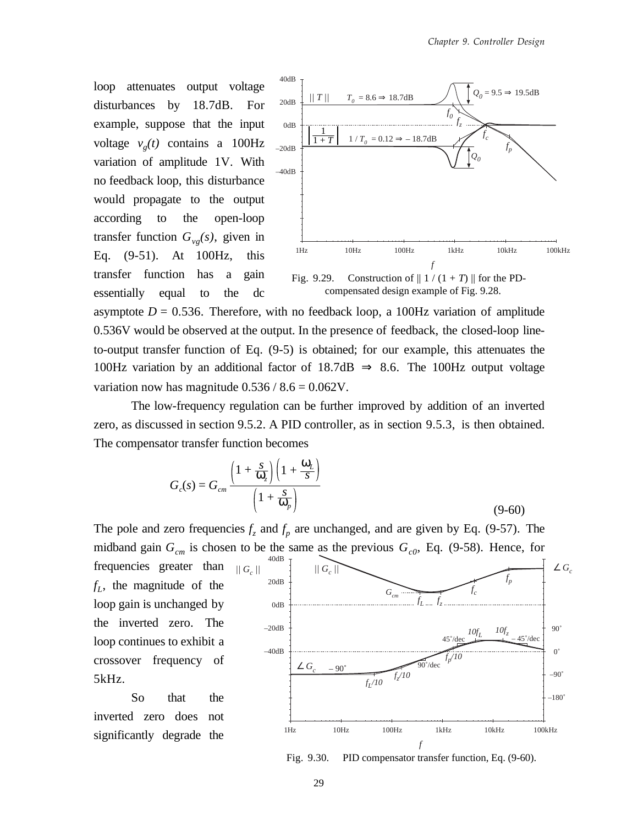loop attenuates output voltage disturbances by 18.7dB. For example, suppose that the input voltage  $v<sub>g</sub>(t)$  contains a 100Hz variation of amplitude 1V. With no feedback loop, this disturbance would propagate to the output according to the open-loop transfer function  $G_{\nu\rho}(s)$ , given in Eq. (9-51). At 100Hz, this transfer function has a gain essentially equal to the dc



asymptote  $D = 0.536$ . Therefore, with no feedback loop, a 100Hz variation of amplitude 0.536V would be observed at the output. In the presence of feedback, the closed-loop lineto-output transfer function of Eq. (9-5) is obtained; for our example, this attenuates the 100Hz variation by an additional factor of 18.7dB  $\Rightarrow$  8.6. The 100Hz output voltage variation now has magnitude  $0.536 / 8.6 = 0.062V$ .

The low-frequency regulation can be further improved by addition of an inverted zero, as discussed in section 9.5.2. A PID controller, as in section 9.5.3, is then obtained. The compensator transfer function becomes

$$
G_c(s) = G_{cm} \frac{\left(1 + \frac{s}{\omega_z}\right)\left(1 + \frac{\omega_L}{s}\right)}{\left(1 + \frac{s}{\omega_p}\right)}
$$
(9-60)

The pole and zero frequencies  $f_z$  and  $f_p$  are unchanged, and are given by Eq. (9-57). The midband gain  $G_{cm}$  is chosen to be the same as the previous  $G_{c0}$ , Eq. (9-58). Hence, for

frequencies greater than  $f_L$ , the magnitude of the loop gain is unchanged by the inverted zero. The loop continues to exhibit a crossover frequency of 5kHz.

So that the inverted zero does not significantly degrade the



Fig. 9.30. PID compensator transfer function, Eq. (9-60).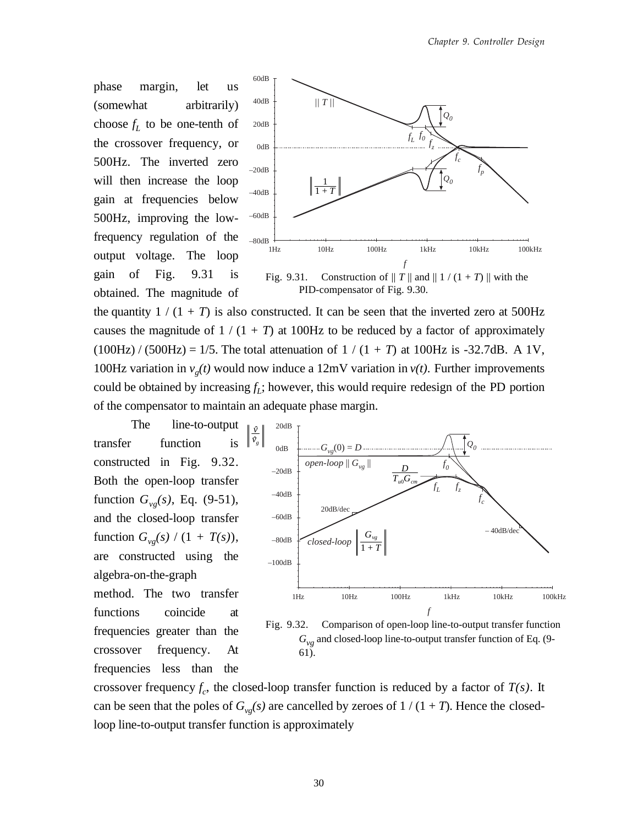phase margin, let us (somewhat arbitrarily) choose  $f_L$  to be one-tenth of the crossover frequency, or 500Hz. The inverted zero will then increase the loop gain at frequencies below 500Hz, improving the lowfrequency regulation of the output voltage. The loop gain of Fig. 9.31 is obtained. The magnitude of



the quantity  $1/(1 + T)$  is also constructed. It can be seen that the inverted zero at 500Hz causes the magnitude of  $1/(1 + T)$  at 100Hz to be reduced by a factor of approximately  $(100\text{Hz}) / (500\text{Hz}) = 1/5$ . The total attenuation of  $1 / (1 + T)$  at 100Hz is -32.7dB. A 1V, 100Hz variation in  $v_g(t)$  would now induce a 12mV variation in  $v(t)$ . Further improvements could be obtained by increasing  $f_L$ ; however, this would require redesign of the PD portion of the compensator to maintain an adequate phase margin.

> *v*  $\hat{v}_g$

The line-to-output transfer function is constructed in Fig. 9.32. Both the open-loop transfer function  $G_{\nu\rho}(s)$ , Eq. (9-51), and the closed-loop transfer function  $G_{\nu\rho}(s) / (1 + T(s)),$ are constructed using the algebra-on-the-graph method. The two transfer functions coincide at frequencies greater than the crossover frequency. At frequencies less than the



Fig. 9.32. Comparison of open-loop line-to-output transfer function *Gvg* and closed-loop line-to-output transfer function of Eq. (9- 61).

crossover frequency  $f_c$ , the closed-loop transfer function is reduced by a factor of  $T(s)$ . It can be seen that the poles of  $G_{\nu\rho}(s)$  are cancelled by zeroes of  $1/(1+T)$ . Hence the closedloop line-to-output transfer function is approximately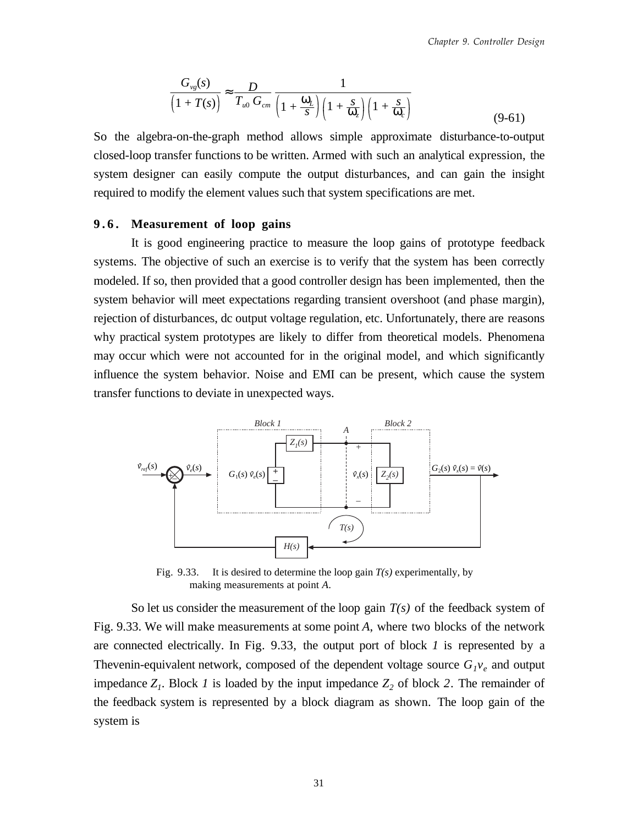$$
\frac{G_{\nu g}(s)}{\left(1+T(s)\right)} \approx \frac{D}{T_{u0}G_{cm}} \frac{1}{\left(1+\frac{\omega_L}{s}\right)\left(1+\frac{s}{\omega_z}\right)\left(1+\frac{s}{\omega_c}\right)} \tag{9-61}
$$

So the algebra-on-the-graph method allows simple approximate disturbance-to-output closed-loop transfer functions to be written. Armed with such an analytical expression, the system designer can easily compute the output disturbances, and can gain the insight required to modify the element values such that system specifications are met.

#### **9.6. Measurement of loop gains**

It is good engineering practice to measure the loop gains of prototype feedback systems. The objective of such an exercise is to verify that the system has been correctly modeled. If so, then provided that a good controller design has been implemented, then the system behavior will meet expectations regarding transient overshoot (and phase margin), rejection of disturbances, dc output voltage regulation, etc. Unfortunately, there are reasons why practical system prototypes are likely to differ from theoretical models. Phenomena may occur which were not accounted for in the original model, and which significantly influence the system behavior. Noise and EMI can be present, which cause the system transfer functions to deviate in unexpected ways.



Fig. 9.33. It is desired to determine the loop gain *T(s)* experimentally, by making measurements at point *A*.

So let us consider the measurement of the loop gain *T(s)* of the feedback system of Fig. 9.33. We will make measurements at some point *A*, where two blocks of the network are connected electrically. In Fig. 9.33, the output port of block *1* is represented by a Thevenin-equivalent network, composed of the dependent voltage source  $G_l v_e$  and output impedance  $Z_1$ . Block *1* is loaded by the input impedance  $Z_2$  of block 2. The remainder of the feedback system is represented by a block diagram as shown. The loop gain of the system is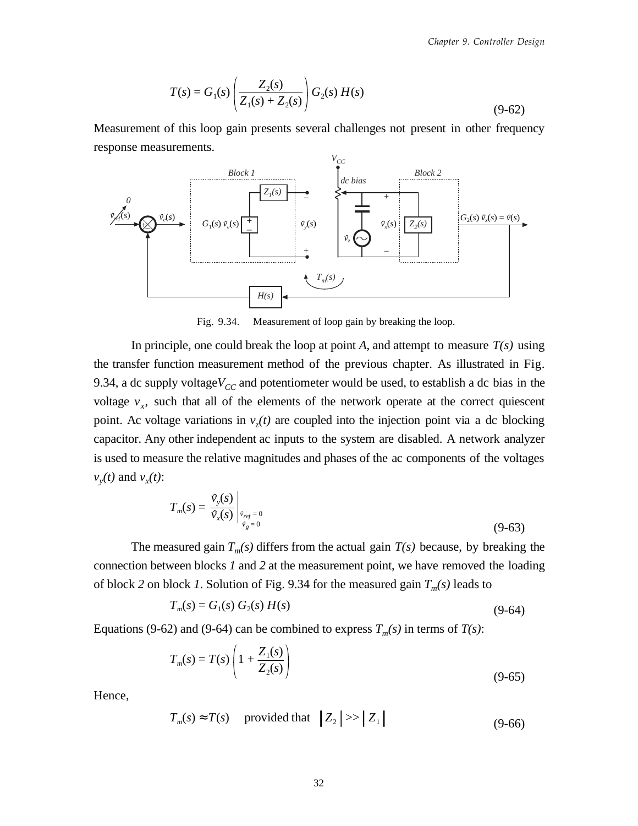$$
T(s) = G_1(s) \left( \frac{Z_2(s)}{Z_1(s) + Z_2(s)} \right) G_2(s) H(s)
$$
\n(9-62)

Measurement of this loop gain presents several challenges not present in other frequency response measurements.



Fig. 9.34. Measurement of loop gain by breaking the loop.

In principle, one could break the loop at point  $A$ , and attempt to measure  $T(s)$  using the transfer function measurement method of the previous chapter. As illustrated in Fig. 9.34, a dc supply voltage $V_{CC}$  and potentiometer would be used, to establish a dc bias in the voltage  $v_x$ , such that all of the elements of the network operate at the correct quiescent point. Ac voltage variations in  $v_z(t)$  are coupled into the injection point via a dc blocking capacitor. Any other independent ac inputs to the system are disabled. A network analyzer is used to measure the relative magnitudes and phases of the ac components of the voltages  $v_y(t)$  and  $v_x(t)$ :

$$
T_m(s) = \frac{\hat{v}_y(s)}{\hat{v}_x(s)} \bigg|_{\substack{\hat{v}_{ref} = 0 \\ \hat{v}_g = 0}} \tag{9-63}
$$

The measured gain  $T_m(s)$  differs from the actual gain  $T(s)$  because, by breaking the connection between blocks *1* and *2* at the measurement point, we have removed the loading of block 2 on block 1. Solution of Fig. 9.34 for the measured gain  $T_m(s)$  leads to

$$
T_m(s) = G_1(s) G_2(s) H(s)
$$
\n(9-64)

Equations (9-62) and (9-64) can be combined to express  $T_m(s)$  in terms of  $T(s)$ :

$$
T_m(s) = T(s) \left( 1 + \frac{Z_1(s)}{Z_2(s)} \right)
$$
\n(9-65)

Hence,

$$
T_m(s) \approx T(s) \quad \text{provided that} \quad \|Z_2\| \gg \|Z_1\| \tag{9-66}
$$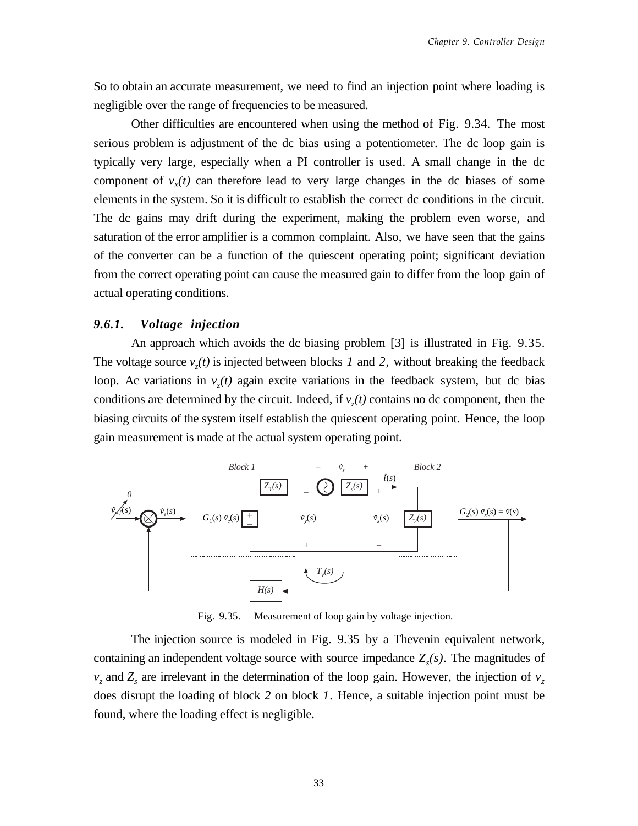So to obtain an accurate measurement, we need to find an injection point where loading is negligible over the range of frequencies to be measured.

Other difficulties are encountered when using the method of Fig. 9.34. The most serious problem is adjustment of the dc bias using a potentiometer. The dc loop gain is typically very large, especially when a PI controller is used. A small change in the dc component of  $v_r(t)$  can therefore lead to very large changes in the dc biases of some elements in the system. So it is difficult to establish the correct dc conditions in the circuit. The dc gains may drift during the experiment, making the problem even worse, and saturation of the error amplifier is a common complaint. Also, we have seen that the gains of the converter can be a function of the quiescent operating point; significant deviation from the correct operating point can cause the measured gain to differ from the loop gain of actual operating conditions.

# *9.6.1. Voltage injection*

An approach which avoids the dc biasing problem [3] is illustrated in Fig. 9.35. The voltage source  $v_1(t)$  is injected between blocks *1* and 2, without breaking the feedback loop. Ac variations in  $v_1(t)$  again excite variations in the feedback system, but dc bias conditions are determined by the circuit. Indeed, if  $v<sub>z</sub>(t)$  contains no dc component, then the biasing circuits of the system itself establish the quiescent operating point. Hence, the loop gain measurement is made at the actual system operating point.



Fig. 9.35. Measurement of loop gain by voltage injection.

The injection source is modeled in Fig. 9.35 by a Thevenin equivalent network, containing an independent voltage source with source impedance  $Z<sub>s</sub>(s)$ . The magnitudes of  $v_z$  and  $Z_s$  are irrelevant in the determination of the loop gain. However, the injection of  $v_z$ does disrupt the loading of block *2* on block *1*. Hence, a suitable injection point must be found, where the loading effect is negligible.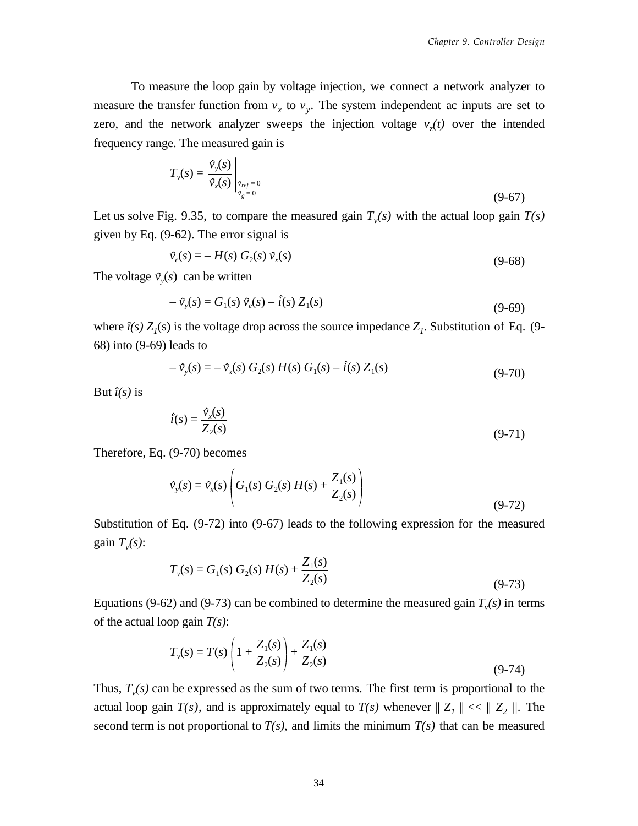To measure the loop gain by voltage injection, we connect a network analyzer to measure the transfer function from  $v_x$  to  $v_y$ . The system independent ac inputs are set to zero, and the network analyzer sweeps the injection voltage  $v_1(t)$  over the intended frequency range. The measured gain is

$$
T_{\nu}(s) = \frac{\hat{\nu}_{\nu}(s)}{\hat{\nu}_{x}(s)} \bigg|_{\substack{\hat{\nu}_{ref} = 0 \\ \hat{\nu}_{g} = 0}} \tag{9-67}
$$

Let us solve Fig. 9.35, to compare the measured gain  $T_v(s)$  with the actual loop gain  $T(s)$ given by Eq. (9-62). The error signal is

$$
\hat{v}_e(s) = -H(s) \ G_2(s) \ \hat{v}_x(s) \tag{9-68}
$$

The voltage  $\hat{v}_y(s)$  can be written

$$
- \hat{v}_y(s) = G_1(s) \hat{v}_e(s) - \hat{i}(s) Z_1(s)
$$
\n(9-69)

where  $\hat{i}(s) Z_i(s)$  is the voltage drop across the source impedance  $Z_i$ . Substitution of Eq. (9-68) into (9-69) leads to

$$
-\hat{v}_y(s) = -\hat{v}_x(s) G_2(s) H(s) G_1(s) - \hat{i}(s) Z_1(s)
$$
\n(9-70)

But *î(s)* is

$$
\hat{i}(s) = \frac{\hat{v}_x(s)}{Z_2(s)}
$$
(9-71)

Therefore, Eq. (9-70) becomes

$$
\hat{v}_y(s) = \hat{v}_x(s) \left( G_1(s) G_2(s) H(s) + \frac{Z_1(s)}{Z_2(s)} \right)
$$
\n(9-72)

Substitution of Eq. (9-72) into (9-67) leads to the following expression for the measured gain  $T_v(s)$ :

$$
T_{\nu}(s) = G_1(s) G_2(s) H(s) + \frac{Z_1(s)}{Z_2(s)}
$$
\n(9-73)

Equations (9-62) and (9-73) can be combined to determine the measured gain  $T_v(s)$  in terms of the actual loop gain *T(s)*:

$$
T_{\nu}(s) = T(s) \left( 1 + \frac{Z_1(s)}{Z_2(s)} \right) + \frac{Z_1(s)}{Z_2(s)}
$$
\n(9-74)

Thus,  $T<sub>v</sub>(s)$  can be expressed as the sum of two terms. The first term is proportional to the actual loop gain  $T(s)$ , and is approximately equal to  $T(s)$  whenever  $|| Z_1 || << || Z_2 ||$ . The second term is not proportional to  $T(s)$ , and limits the minimum  $T(s)$  that can be measured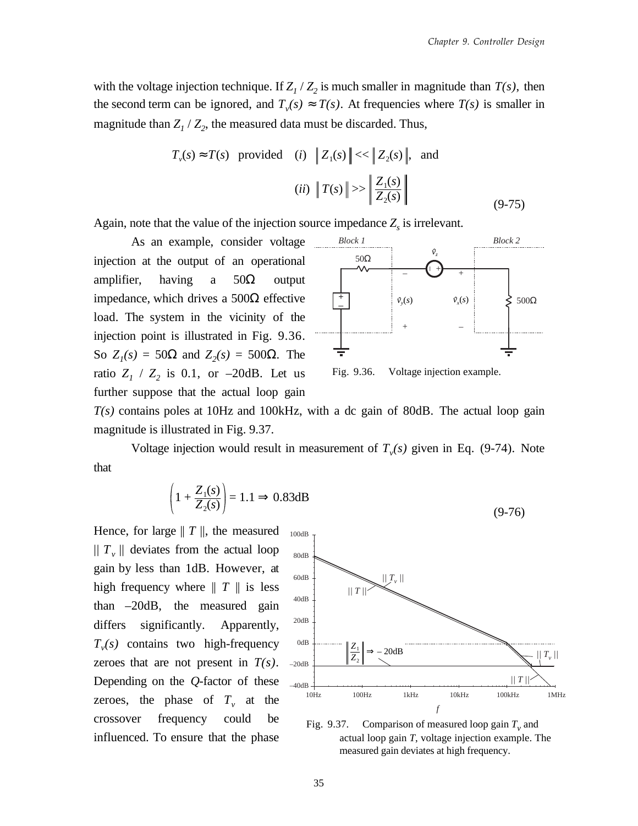with the voltage injection technique. If  $Z_1/Z_2$  is much smaller in magnitude than  $T(s)$ , then the second term can be ignored, and  $T_v(s) \approx T(s)$ . At frequencies where  $T(s)$  is smaller in magnitude than  $Z_1/Z_2$ , the measured data must be discarded. Thus,

$$
T_v(s) \approx T(s)
$$
 provided (i)  $||Z_1(s)|| \ll ||Z_2(s)||$ , and  
(ii)  $||T(s)|| \gg ||\frac{Z_1(s)}{Z_2(s)}||$  (9-75)

Again, note that the value of the injection source impedance  $Z_{\rm s}$  is irrelevant.

As an example, consider voltage injection at the output of an operational amplifier, having a  $50Ω$  output impedance, which drives a 500Ω effective load. The system in the vicinity of the injection point is illustrated in Fig. 9.36. So  $Z_1(s) = 50\Omega$  and  $Z_2(s) = 500\Omega$ . The ratio  $Z_1$  /  $Z_2$  is 0.1, or -20dB. Let us further suppose that the actual loop gain



Fig. 9.36. Voltage injection example.

*T(s)* contains poles at 10Hz and 100kHz, with a dc gain of 80dB. The actual loop gain magnitude is illustrated in Fig. 9.37.

Voltage injection would result in measurement of  $T_v(s)$  given in Eq. (9-74). Note that

$$
\left(1 + \frac{Z_1(s)}{Z_2(s)}\right) = 1.1 \Rightarrow 0.83 \text{dB}
$$
\n
$$
(9-76)
$$

Hence, for large  $|| T ||$ , the measured  $|| T_v ||$  deviates from the actual loop gain by less than 1dB. However, at high frequency where  $|| T ||$  is less than –20dB, the measured gain differs significantly. Apparently,  $T_v(s)$  contains two high-frequency zeroes that are not present in *T(s)*. Depending on the *Q*-factor of these zeroes, the phase of  $T<sub>v</sub>$  at the crossover frequency could be influenced. To ensure that the phase



Fig. 9.37. Comparison of measured loop gain  $T_v$  and actual loop gain *T*, voltage injection example. The measured gain deviates at high frequency.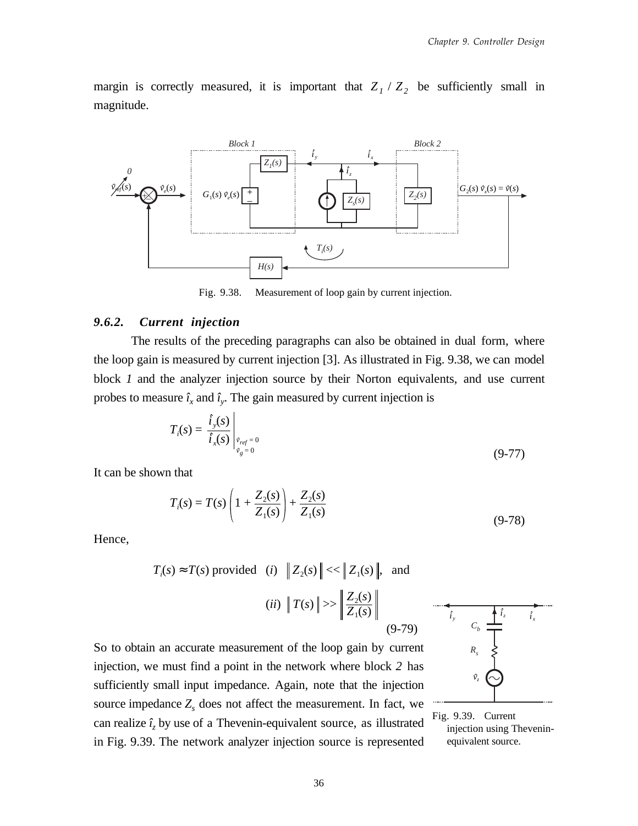margin is correctly measured, it is important that  $Z_1/Z_2$  be sufficiently small in magnitude.



Fig. 9.38. Measurement of loop gain by current injection.

# *9.6.2. Current injection*

The results of the preceding paragraphs can also be obtained in dual form, where the loop gain is measured by current injection [3]. As illustrated in Fig. 9.38, we can model block *1* and the analyzer injection source by their Norton equivalents, and use current probes to measure  $\hat{i}_x$  and  $\hat{i}_y$ . The gain measured by current injection is

$$
T_i(s) = \frac{\hat{i}_y(s)}{\hat{i}_x(s)} \bigg|_{\substack{\hat{v}_{ref} = 0 \\ \hat{v}_g = 0}} \tag{9-77}
$$

It can be shown that

$$
T_i(s) = T(s) \left( 1 + \frac{Z_2(s)}{Z_1(s)} \right) + \frac{Z_2(s)}{Z_1(s)}
$$
\n(9-78)

Hence,

$$
T_i(s) \approx T(s) \text{ provided } (i) \quad \left\| Z_2(s) \right\| \ll \left\| Z_1(s) \right\|, \text{ and}
$$
\n
$$
(ii) \quad \left\| T(s) \right\| \gg \left\| \frac{Z_2(s)}{Z_1(s)} \right\| \qquad \qquad \frac{\sum_{i} (s)}{i} \quad C_b \quad \frac{\left\| \hat{I}_z \right\|}{\left\| \hat{I}_x \right\|} \quad (9-79)
$$

So to obtain an accurate measurement of the loop gain by current injection, we must find a point in the network where block *2* has sufficiently small input impedance. Again, note that the injection source impedance  $Z<sub>s</sub>$  does not affect the measurement. In fact, we can realize  $\hat{i}$ <sub>z</sub> by use of a Thevenin-equivalent source, as illustrated in Fig. 9.39. The network analyzer injection source is represented



Fig. 9.39. Current injection using Theveninequivalent source.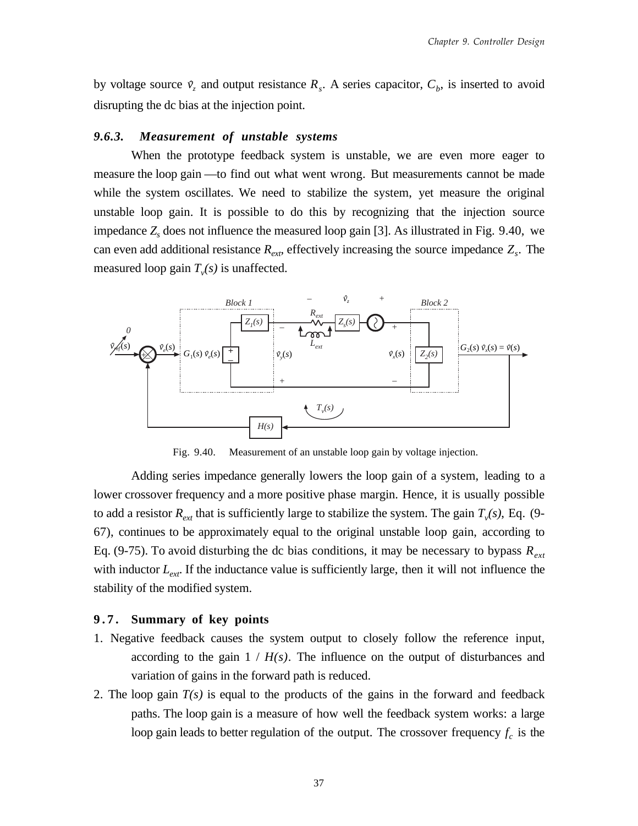by voltage source  $\hat{v}_z$  and output resistance  $R_s$ . A series capacitor,  $C_b$ , is inserted to avoid disrupting the dc bias at the injection point.

#### *9.6.3. Measurement of unstable systems*

When the prototype feedback system is unstable, we are even more eager to measure the loop gain —to find out what went wrong. But measurements cannot be made while the system oscillates. We need to stabilize the system, yet measure the original unstable loop gain. It is possible to do this by recognizing that the injection source impedance *Z*<sub>s</sub> does not influence the measured loop gain [3]. As illustrated in Fig. 9.40, we can even add additional resistance  $R_{ext}$ , effectively increasing the source impedance  $Z_s$ . The measured loop gain  $T_{v}(s)$  is unaffected.



Fig. 9.40. Measurement of an unstable loop gain by voltage injection.

Adding series impedance generally lowers the loop gain of a system, leading to a lower crossover frequency and a more positive phase margin. Hence, it is usually possible to add a resistor  $R_{\text{ext}}$  that is sufficiently large to stabilize the system. The gain  $T_{\text{v}}(s)$ , Eq. (9-67), continues to be approximately equal to the original unstable loop gain, according to Eq. (9-75). To avoid disturbing the dc bias conditions, it may be necessary to bypass  $R_{ext}$ with inductor  $L_{ext}$ . If the inductance value is sufficiently large, then it will not influence the stability of the modified system.

#### **9.7. Summary of key points**

- 1. Negative feedback causes the system output to closely follow the reference input, according to the gain  $1 / H(s)$ . The influence on the output of disturbances and variation of gains in the forward path is reduced.
- 2. The loop gain  $T(s)$  is equal to the products of the gains in the forward and feedback paths. The loop gain is a measure of how well the feedback system works: a large loop gain leads to better regulation of the output. The crossover frequency  $f_c$  is the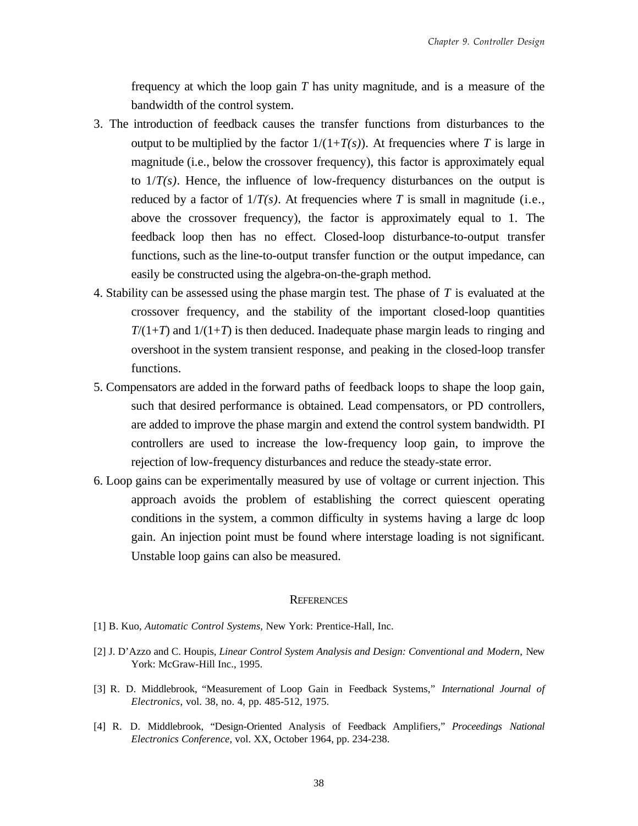frequency at which the loop gain *T* has unity magnitude, and is a measure of the bandwidth of the control system.

- 3. The introduction of feedback causes the transfer functions from disturbances to the output to be multiplied by the factor  $1/(1+T(s))$ . At frequencies where *T* is large in magnitude (i.e., below the crossover frequency), this factor is approximately equal to  $1/T(s)$ . Hence, the influence of low-frequency disturbances on the output is reduced by a factor of  $1/T(s)$ . At frequencies where *T* is small in magnitude (i.e., above the crossover frequency), the factor is approximately equal to 1. The feedback loop then has no effect. Closed-loop disturbance-to-output transfer functions, such as the line-to-output transfer function or the output impedance, can easily be constructed using the algebra-on-the-graph method.
- 4. Stability can be assessed using the phase margin test. The phase of *T* is evaluated at the crossover frequency, and the stability of the important closed-loop quantities  $T/(1+T)$  and  $1/(1+T)$  is then deduced. Inadequate phase margin leads to ringing and overshoot in the system transient response, and peaking in the closed-loop transfer functions.
- 5. Compensators are added in the forward paths of feedback loops to shape the loop gain, such that desired performance is obtained. Lead compensators, or PD controllers, are added to improve the phase margin and extend the control system bandwidth. PI controllers are used to increase the low-frequency loop gain, to improve the rejection of low-frequency disturbances and reduce the steady-state error.
- 6. Loop gains can be experimentally measured by use of voltage or current injection. This approach avoids the problem of establishing the correct quiescent operating conditions in the system, a common difficulty in systems having a large dc loop gain. An injection point must be found where interstage loading is not significant. Unstable loop gains can also be measured.

#### **REFERENCES**

- [1] B. Kuo, *Automatic Control Systems*, New York: Prentice-Hall, Inc.
- [2] J. D'Azzo and C. Houpis, *Linear Control System Analysis and Design: Conventional and Modern*, New York: McGraw-Hill Inc., 1995.
- [3] R. D. Middlebrook, "Measurement of Loop Gain in Feedback Systems," *International Journal of Electronics*, vol. 38, no. 4, pp. 485-512, 1975.
- [4] R. D. Middlebrook, "Design-Oriented Analysis of Feedback Amplifiers," *Proceedings National Electronics Conference*, vol. XX, October 1964, pp. 234-238.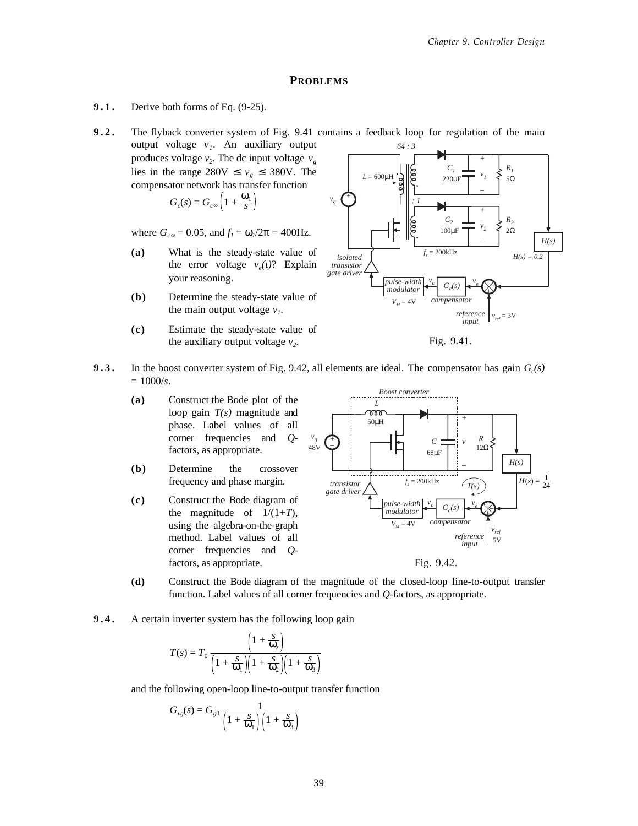#### **PROBLEMS**

- **9.1.** Derive both forms of Eq. (9-25).
- **9.2.** The flyback converter system of Fig. 9.41 contains a feedback loop for regulation of the main output voltage  $v_1$ . An auxiliary output produces voltage  $v_2$ . The dc input voltage  $v_g$ lies in the range 280V  $\leq v_g \leq 380$ V. The compensator network has transfer function

$$
G_c(s) = G_{c\infty} \left( 1 + \frac{\omega_1}{s} \right)
$$

where  $G_{c\infty} = 0.05$ , and  $f_1 = \omega_1/2\pi = 400$  Hz.

- **(a)** What is the steady-state value of the error voltage  $v_e(t)$ ? Explain your reasoning.
- **(b)** Determine the steady-state value of the main output voltage  $v_1$ .
- **(c)** Estimate the steady-state value of the auxiliary output voltage  $v_2$ .



Fig. 9.41.

- **9.3.** In the boost converter system of Fig. 9.42, all elements are ideal. The compensator has gain  $G_c(s)$  $= 1000/s.$ 
	- **(a)** Construct the Bode plot of the loop gain *T(s)* magnitude and phase. Label values of all corner frequencies and *Q*factors, as appropriate.
	- **(b)** Determine the crossover frequency and phase margin.
	- **(c)** Construct the Bode diagram of the magnitude of  $1/(1+T)$ , using the algebra-on-the-graph method. Label values of all corner frequencies and *Q*factors, as appropriate.





- **(d)** Construct the Bode diagram of the magnitude of the closed-loop line-to-output transfer function. Label values of all corner frequencies and *Q*-factors, as appropriate.
- **9.4.** A certain inverter system has the following loop gain

$$
T(s) = T_0 \frac{\left(1 + \frac{s}{\omega_z}\right)}{\left(1 + \frac{s}{\omega_1}\right)\left(1 + \frac{s}{\omega_2}\right)\left(1 + \frac{s}{\omega_3}\right)}
$$

and the following open-loop line-to-output transfer function

$$
G_{vg}(s) = G_{g0} \frac{1}{\left(1 + \frac{s}{\omega_1}\right)\left(1 + \frac{s}{\omega_3}\right)}
$$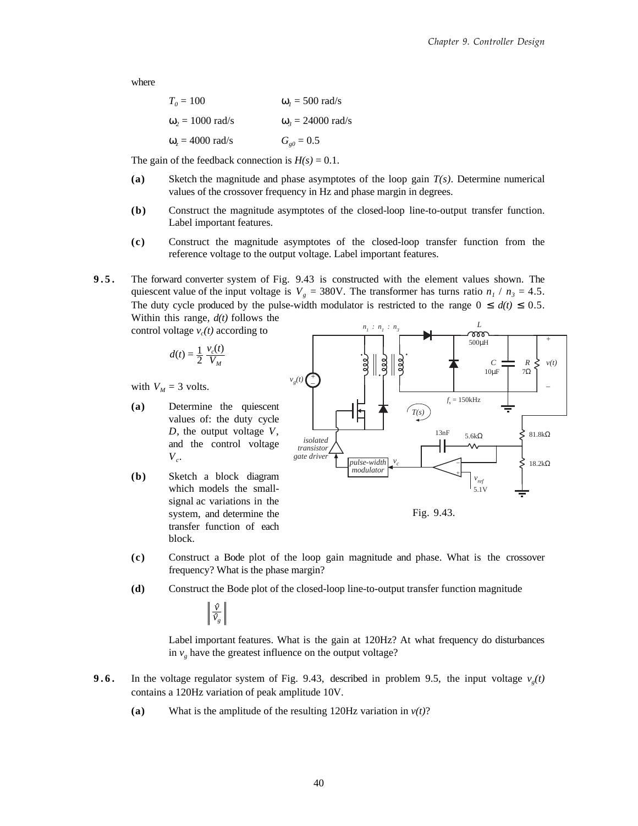where

$$
T_0 = 100
$$
  $\omega_1 = 500 \text{ rad/s}$   
\n $\omega_2 = 1000 \text{ rad/s}$   $\omega_3 = 24000 \text{ rad/s}$   
\n $\omega_z = 4000 \text{ rad/s}$   $G_{g0} = 0.5$ 

The gain of the feedback connection is  $H(s) = 0.1$ .

- **(a)** Sketch the magnitude and phase asymptotes of the loop gain *T(s)*. Determine numerical values of the crossover frequency in Hz and phase margin in degrees.
- **(b)** Construct the magnitude asymptotes of the closed-loop line-to-output transfer function. Label important features.
- **(c)** Construct the magnitude asymptotes of the closed-loop transfer function from the reference voltage to the output voltage. Label important features.

**9.5.** The forward converter system of Fig. 9.43 is constructed with the element values shown. The quiescent value of the input voltage is  $V_g = 380V$ . The transformer has turns ratio  $n_1 / n_3 = 4.5$ . The duty cycle produced by the pulse-width modulator is restricted to the range  $0 \le d(t) \le 0.5$ . Within this range, *d(t)* follows the

control voltage  $v_c(t)$  according to

$$
d(t) = \frac{1}{2} \frac{v_c(t)}{V_M}
$$

with  $V_M = 3$  volts.

- **(a)** Determine the quiescent values of: the duty cycle *D*, the output voltage *V*, and the control voltage  $V_c$ .
- **(b)** Sketch a block diagram which models the smallsignal ac variations in the system, and determine the transfer function of each block.



**(c)** Construct a Bode plot of the loop gain magnitude and phase. What is the crossover frequency? What is the phase margin?

**(d)** Construct the Bode plot of the closed-loop line-to-output transfer function magnitude

*v*  $\widehat{\nu}_g$ 

Label important features. What is the gain at 120Hz? At what frequency do disturbances in  $v_g$  have the greatest influence on the output voltage?

- **9.6.** In the voltage regulator system of Fig. 9.43, described in problem 9.5, the input voltage  $v<sub>e</sub>(t)$ contains a 120Hz variation of peak amplitude 10V.
	- (a) What is the amplitude of the resulting 120Hz variation in  $v(t)$ ?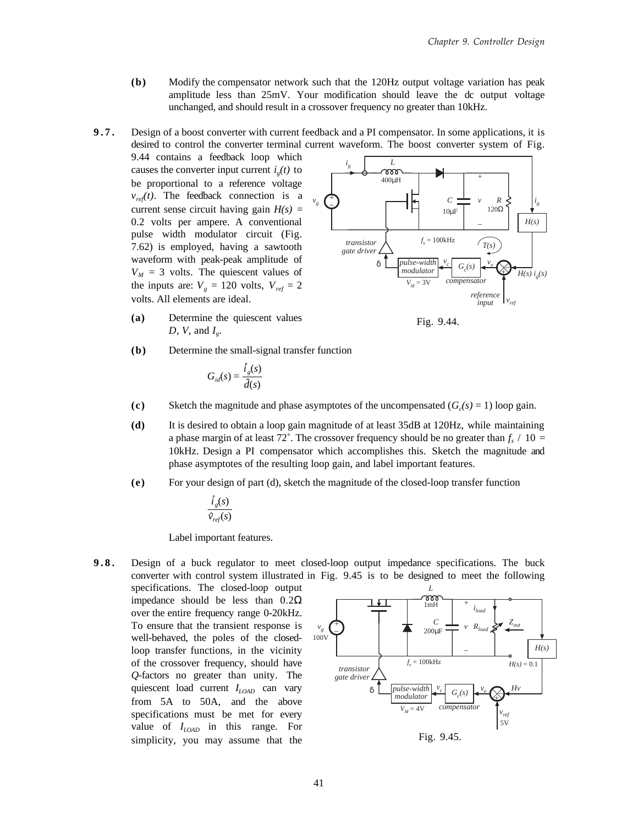- **(b)** Modify the compensator network such that the 120Hz output voltage variation has peak amplitude less than 25mV. Your modification should leave the dc output voltage unchanged, and should result in a crossover frequency no greater than 10kHz.
- **9.7.** Design of a boost converter with current feedback and a PI compensator. In some applications, it is desired to control the converter terminal current waveform. The boost converter system of Fig.

9.44 contains a feedback loop which causes the converter input current  $i<sub>o</sub>(t)$  to be proportional to a reference voltage  $v_{ref}(t)$ . The feedback connection is a current sense circuit having gain  $H(s)$  = 0.2 volts per ampere. A conventional pulse width modulator circuit (Fig. 7.62) is employed, having a sawtooth waveform with peak-peak amplitude of  $V_M$  = 3 volts. The quiescent values of the inputs are:  $V_g = 120$  volts,  $V_{ref} = 2$ volts. All elements are ideal.

**(a)** Determine the quiescent values *D*, *V*, and *Ig*.





**(b)** Determine the small-signal transfer function

$$
G_{id}(s) = \frac{\hat{i}_g(s)}{\hat{d}(s)}
$$

- (c) Sketch the magnitude and phase asymptotes of the uncompensated  $(G_c(s) = 1)$  loop gain.
- **(d)** It is desired to obtain a loop gain magnitude of at least 35dB at 120Hz, while maintaining a phase margin of at least 72°. The crossover frequency should be no greater than  $f_s / 10 =$ 10kHz. Design a PI compensator which accomplishes this. Sketch the magnitude and phase asymptotes of the resulting loop gain, and label important features.
- **(e)** For your design of part (d), sketch the magnitude of the closed-loop transfer function

$$
\frac{i_g(s)}{\hat{v}_{ref}(s)}
$$

Label important features.

**9.8.** Design of a buck regulator to meet closed-loop output impedance specifications. The buck converter with control system illustrated in Fig. 9.45 is to be designed to meet the following

specifications. The closed-loop output impedance should be less than 0.2Ω over the entire frequency range 0-20kHz. To ensure that the transient response is well-behaved, the poles of the closedloop transfer functions, in the vicinity of the crossover frequency, should have *Q*-factors no greater than unity. The quiescent load current *I<sub>LOAD</sub>* can vary from 5A to 50A, and the above specifications must be met for every value of *ILOAD* in this range. For simplicity, you may assume that the

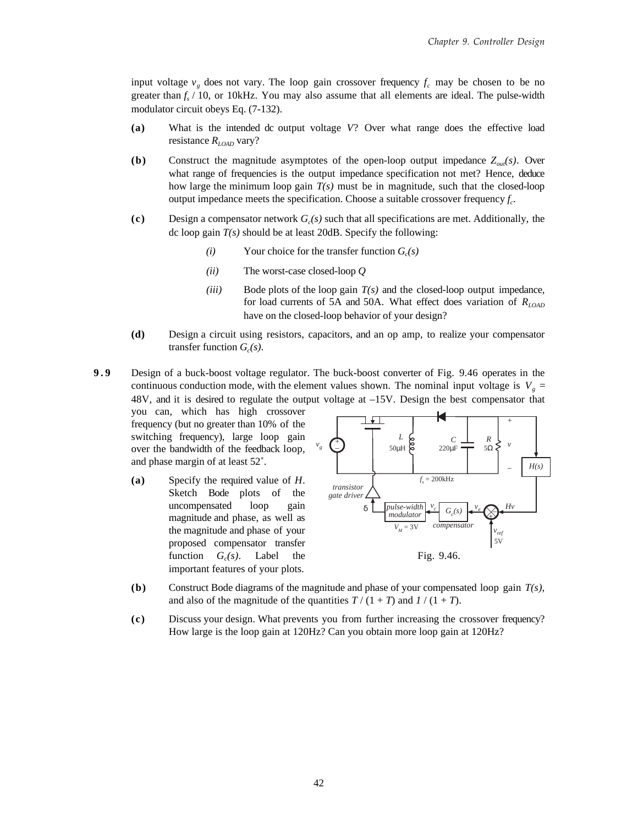input voltage  $v_g$  does not vary. The loop gain crossover frequency  $f_c$  may be chosen to be no greater than  $f_s$  / 10, or 10kHz. You may also assume that all elements are ideal. The pulse-width modulator circuit obeys Eq. (7-132).

- **(a)** What is the intended dc output voltage *V*? Over what range does the effective load resistance *RLOAD* vary?
- **(b)** Construct the magnitude asymptotes of the open-loop output impedance  $Z_{out}(s)$ . Over what range of frequencies is the output impedance specification not met? Hence, deduce how large the minimum loop gain *T(s)* must be in magnitude, such that the closed-loop output impedance meets the specification. Choose a suitable crossover frequency  $f_c$ .
- (c) Design a compensator network  $G_c(s)$  such that all specifications are met. Additionally, the dc loop gain *T(s)* should be at least 20dB. Specify the following:
	- $(i)$  Your choice for the transfer function  $G_c(s)$
	- *(ii)* The worst-case closed-loop *Q*
	- *(iii)* Bode plots of the loop gain *T(s)* and the closed-loop output impedance, for load currents of 5A and 50A. What effect does variation of  $R_{LOD}$ have on the closed-loop behavior of your design?
- **(d)** Design a circuit using resistors, capacitors, and an op amp, to realize your compensator transfer function  $G_c(s)$ .
- **9.9** Design of a buck-boost voltage regulator. The buck-boost converter of Fig. 9.46 operates in the continuous conduction mode, with the element values shown. The nominal input voltage is  $V_e$  = 48V, and it is desired to regulate the output voltage at –15V. Design the best compensator that

you can, which has high crossover frequency (but no greater than 10% of the switching frequency), large loop gain over the bandwidth of the feedback loop, and phase margin of at least 52˚.

**(a)** Specify the required value of *H*. Sketch Bode plots of the uncompensated loop gain magnitude and phase, as well as the magnitude and phase of your proposed compensator transfer function  $G_c(s)$ . Label the important features of your plots.



- **(b)** Construct Bode diagrams of the magnitude and phase of your compensated loop gain *T(s)*, and also of the magnitude of the quantities  $T/(1 + T)$  and  $T/(1 + T)$ .
- **(c)** Discuss your design. What prevents you from further increasing the crossover frequency? How large is the loop gain at 120Hz? Can you obtain more loop gain at 120Hz?